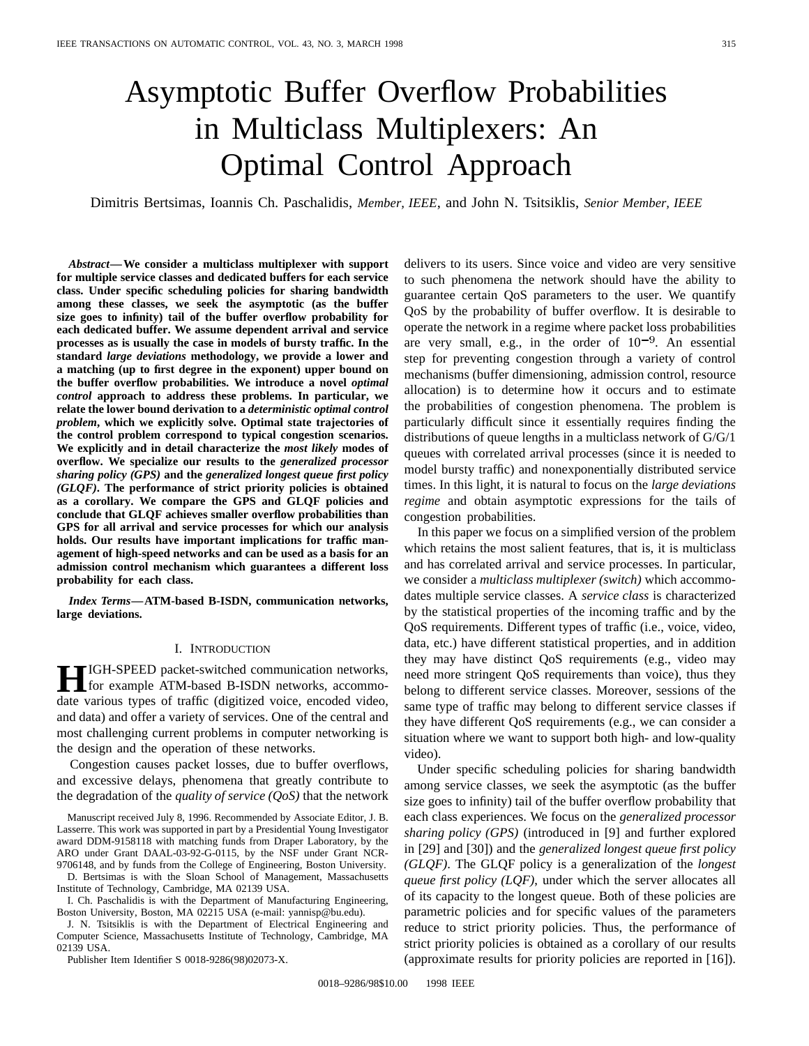# Asymptotic Buffer Overflow Probabilities in Multiclass Multiplexers: An Optimal Control Approach

Dimitris Bertsimas, Ioannis Ch. Paschalidis, *Member, IEEE*, and John N. Tsitsiklis, *Senior Member, IEEE*

*Abstract—***We consider a multiclass multiplexer with support for multiple service classes and dedicated buffers for each service class. Under specific scheduling policies for sharing bandwidth among these classes, we seek the asymptotic (as the buffer size goes to infinity) tail of the buffer overflow probability for each dedicated buffer. We assume dependent arrival and service processes as is usually the case in models of bursty traffic. In the standard** *large deviations* **methodology, we provide a lower and a matching (up to first degree in the exponent) upper bound on the buffer overflow probabilities. We introduce a novel** *optimal control* **approach to address these problems. In particular, we relate the lower bound derivation to a** *deterministic optimal control problem***, which we explicitly solve. Optimal state trajectories of the control problem correspond to typical congestion scenarios. We explicitly and in detail characterize the** *most likely* **modes of overflow. We specialize our results to the** *generalized processor sharing policy (GPS)* **and the** *generalized longest queue first policy (GLQF)***. The performance of strict priority policies is obtained as a corollary. We compare the GPS and GLQF policies and conclude that GLQF achieves smaller overflow probabilities than GPS for all arrival and service processes for which our analysis holds. Our results have important implications for traffic management of high-speed networks and can be used as a basis for an admission control mechanism which guarantees a different loss probability for each class.**

*Index Terms—***ATM-based B-ISDN, communication networks, large deviations.**

#### I. INTRODUCTION

**HIGH-SPEED** packet-switched communication networks,<br>for example ATM-based B-ISDN networks, accommo-<br>data versions times of traffic (disjtingd version appended video date various types of traffic (digitized voice, encoded video, and data) and offer a variety of services. One of the central and most challenging current problems in computer networking is the design and the operation of these networks.

Congestion causes packet losses, due to buffer overflows, and excessive delays, phenomena that greatly contribute to the degradation of the *quality of service (QoS)* that the network

Manuscript received July 8, 1996. Recommended by Associate Editor, J. B. Lasserre. This work was supported in part by a Presidential Young Investigator award DDM-9158118 with matching funds from Draper Laboratory, by the ARO under Grant DAAL-03-92-G-0115, by the NSF under Grant NCR-9706148, and by funds from the College of Engineering, Boston University.

D. Bertsimas is with the Sloan School of Management, Massachusetts Institute of Technology, Cambridge, MA 02139 USA.

I. Ch. Paschalidis is with the Department of Manufacturing Engineering, Boston University, Boston, MA 02215 USA (e-mail: yannisp@bu.edu).

J. N. Tsitsiklis is with the Department of Electrical Engineering and Computer Science, Massachusetts Institute of Technology, Cambridge, MA 02139 USA.

Publisher Item Identifier S 0018-9286(98)02073-X.

delivers to its users. Since voice and video are very sensitive to such phenomena the network should have the ability to guarantee certain QoS parameters to the user. We quantify QoS by the probability of buffer overflow. It is desirable to operate the network in a regime where packet loss probabilities are very small, e.g., in the order of  $10^{-9}$ . An essential step for preventing congestion through a variety of control mechanisms (buffer dimensioning, admission control, resource allocation) is to determine how it occurs and to estimate the probabilities of congestion phenomena. The problem is particularly difficult since it essentially requires finding the distributions of queue lengths in a multiclass network of G/G/1 queues with correlated arrival processes (since it is needed to model bursty traffic) and nonexponentially distributed service times. In this light, it is natural to focus on the *large deviations regime* and obtain asymptotic expressions for the tails of congestion probabilities.

In this paper we focus on a simplified version of the problem which retains the most salient features, that is, it is multiclass and has correlated arrival and service processes. In particular, we consider a *multiclass multiplexer (switch)* which accommodates multiple service classes. A *service class* is characterized by the statistical properties of the incoming traffic and by the QoS requirements. Different types of traffic (i.e., voice, video, data, etc.) have different statistical properties, and in addition they may have distinct QoS requirements (e.g., video may need more stringent QoS requirements than voice), thus they belong to different service classes. Moreover, sessions of the same type of traffic may belong to different service classes if they have different QoS requirements (e.g., we can consider a situation where we want to support both high- and low-quality video).

Under specific scheduling policies for sharing bandwidth among service classes, we seek the asymptotic (as the buffer size goes to infinity) tail of the buffer overflow probability that each class experiences. We focus on the *generalized processor sharing policy (GPS)* (introduced in [9] and further explored in [29] and [30]) and the *generalized longest queue first policy (GLQF)*. The GLQF policy is a generalization of the *longest queue first policy (LQF)*, under which the server allocates all of its capacity to the longest queue. Both of these policies are parametric policies and for specific values of the parameters reduce to strict priority policies. Thus, the performance of strict priority policies is obtained as a corollary of our results (approximate results for priority policies are reported in [16]).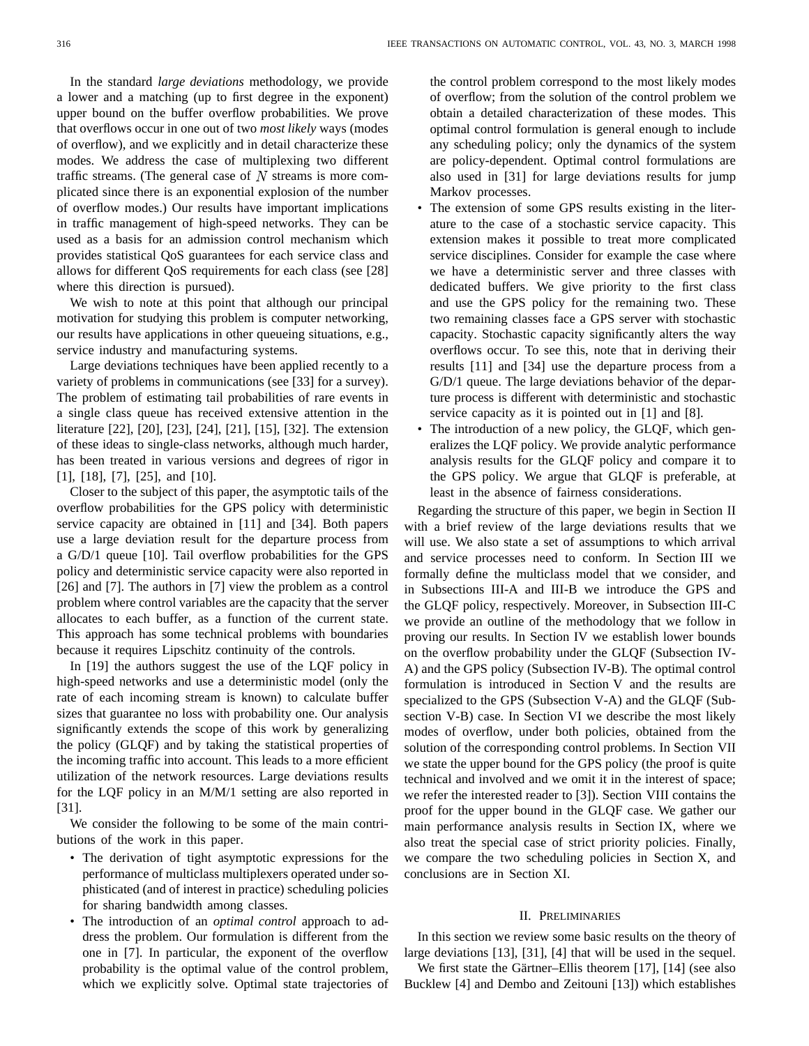In the standard *large deviations* methodology, we provide a lower and a matching (up to first degree in the exponent) upper bound on the buffer overflow probabilities. We prove that overflows occur in one out of two *most likely* ways (modes of overflow), and we explicitly and in detail characterize these modes. We address the case of multiplexing two different traffic streams. (The general case of  $N$  streams is more complicated since there is an exponential explosion of the number of overflow modes.) Our results have important implications in traffic management of high-speed networks. They can be used as a basis for an admission control mechanism which provides statistical QoS guarantees for each service class and allows for different QoS requirements for each class (see [28] where this direction is pursued).

We wish to note at this point that although our principal motivation for studying this problem is computer networking, our results have applications in other queueing situations, e.g., service industry and manufacturing systems.

Large deviations techniques have been applied recently to a variety of problems in communications (see [33] for a survey). The problem of estimating tail probabilities of rare events in a single class queue has received extensive attention in the literature [22], [20], [23], [24], [21], [15], [32]. The extension of these ideas to single-class networks, although much harder, has been treated in various versions and degrees of rigor in [1], [18], [7], [25], and [10].

Closer to the subject of this paper, the asymptotic tails of the overflow probabilities for the GPS policy with deterministic service capacity are obtained in [11] and [34]. Both papers use a large deviation result for the departure process from a G/D/1 queue [10]. Tail overflow probabilities for the GPS policy and deterministic service capacity were also reported in [26] and [7]. The authors in [7] view the problem as a control problem where control variables are the capacity that the server allocates to each buffer, as a function of the current state. This approach has some technical problems with boundaries because it requires Lipschitz continuity of the controls.

In [19] the authors suggest the use of the LQF policy in high-speed networks and use a deterministic model (only the rate of each incoming stream is known) to calculate buffer sizes that guarantee no loss with probability one. Our analysis significantly extends the scope of this work by generalizing the policy (GLQF) and by taking the statistical properties of the incoming traffic into account. This leads to a more efficient utilization of the network resources. Large deviations results for the LQF policy in an M/M/1 setting are also reported in [31].

We consider the following to be some of the main contributions of the work in this paper.

- The derivation of tight asymptotic expressions for the performance of multiclass multiplexers operated under sophisticated (and of interest in practice) scheduling policies for sharing bandwidth among classes.
- The introduction of an *optimal control* approach to address the problem. Our formulation is different from the one in [7]. In particular, the exponent of the overflow probability is the optimal value of the control problem, which we explicitly solve. Optimal state trajectories of

the control problem correspond to the most likely modes of overflow; from the solution of the control problem we obtain a detailed characterization of these modes. This optimal control formulation is general enough to include any scheduling policy; only the dynamics of the system are policy-dependent. Optimal control formulations are also used in [31] for large deviations results for jump Markov processes.

- The extension of some GPS results existing in the literature to the case of a stochastic service capacity. This extension makes it possible to treat more complicated service disciplines. Consider for example the case where we have a deterministic server and three classes with dedicated buffers. We give priority to the first class and use the GPS policy for the remaining two. These two remaining classes face a GPS server with stochastic capacity. Stochastic capacity significantly alters the way overflows occur. To see this, note that in deriving their results [11] and [34] use the departure process from a G/D/1 queue. The large deviations behavior of the departure process is different with deterministic and stochastic service capacity as it is pointed out in [1] and [8].
- The introduction of a new policy, the GLQF, which generalizes the LQF policy. We provide analytic performance analysis results for the GLQF policy and compare it to the GPS policy. We argue that GLQF is preferable, at least in the absence of fairness considerations.

Regarding the structure of this paper, we begin in Section II with a brief review of the large deviations results that we will use. We also state a set of assumptions to which arrival and service processes need to conform. In Section III we formally define the multiclass model that we consider, and in Subsections III-A and III-B we introduce the GPS and the GLQF policy, respectively. Moreover, in Subsection III-C we provide an outline of the methodology that we follow in proving our results. In Section IV we establish lower bounds on the overflow probability under the GLQF (Subsection IV-A) and the GPS policy (Subsection IV-B). The optimal control formulation is introduced in Section V and the results are specialized to the GPS (Subsection V-A) and the GLQF (Subsection V-B) case. In Section VI we describe the most likely modes of overflow, under both policies, obtained from the solution of the corresponding control problems. In Section VII we state the upper bound for the GPS policy (the proof is quite technical and involved and we omit it in the interest of space; we refer the interested reader to [3]). Section VIII contains the proof for the upper bound in the GLQF case. We gather our main performance analysis results in Section IX, where we also treat the special case of strict priority policies. Finally, we compare the two scheduling policies in Section X, and conclusions are in Section XI.

#### II. PRELIMINARIES

In this section we review some basic results on the theory of large deviations [13], [31], [4] that will be used in the sequel.

We first state the Gärtner–Ellis theorem  $[17]$ ,  $[14]$  (see also Bucklew [4] and Dembo and Zeitouni [13]) which establishes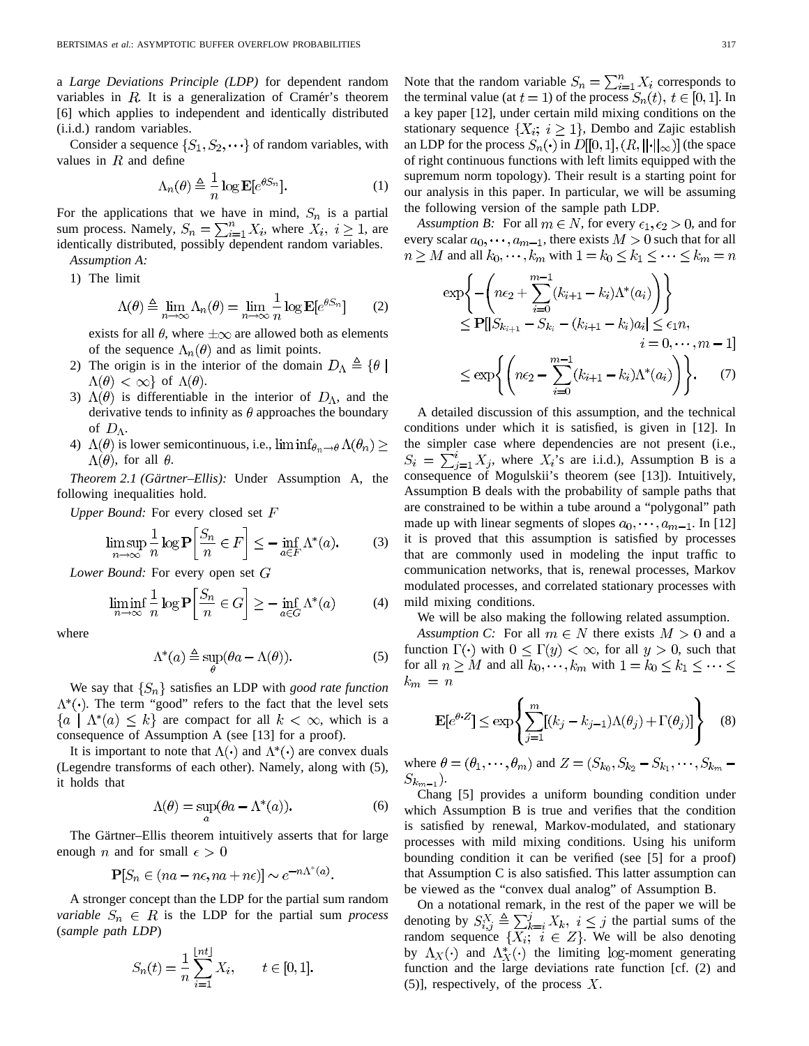a *Large Deviations Principle (LDP)* for dependent random variables in  $R$ . It is a generalization of Cramér's theorem [6] which applies to independent and identically distributed (i.i.d.) random variables.

Consider a sequence  $\{S_1, S_2, \dots\}$  of random variables, with values in  $R$  and define

$$
\Lambda_n(\theta) \triangleq \frac{1}{n} \log \mathbf{E} [e^{\theta S_n}]. \tag{1}
$$

For the applications that we have in mind,  $S_n$  is a partial sum process. Namely,  $S_n = \sum_{i=1}^n X_i$ , where  $X_i$ ,  $i \geq 1$ , are identically distributed, possibly dependent random variables. *Assumption A:*

1) The limit

$$
\Lambda(\theta) \triangleq \lim_{n \to \infty} \Lambda_n(\theta) = \lim_{n \to \infty} \frac{1}{n} \log \mathbf{E}[e^{\theta S_n}] \qquad (2)
$$

exists for all  $\theta$ , where  $\pm \infty$  are allowed both as elements of the sequence  $\Lambda_n(\theta)$  and as limit points.

- 2) The origin is in the interior of the domain  $D_{\Lambda} \triangleq \{ \theta \mid \mathbf{z} \in \mathbb{R} \}$  $\Lambda(\theta) < \infty$  of  $\Lambda(\theta)$ .
- 3)  $\Lambda(\theta)$  is differentiable in the interior of  $D_{\Lambda}$ , and the derivative tends to infinity as  $\theta$  approaches the boundary of  $D_{\Lambda}$ .
- 4)  $\Lambda(\theta)$  is lower semicontinuous, i.e.,  $\liminf_{\theta_n \to \theta} \Lambda(\theta_n) \geq$  $\Lambda(\theta)$ , for all  $\theta$ .

*Theorem 2.1 (Gärtner–Ellis):* Under Assumption A, the following inequalities hold.

*Upper Bound:* For every closed set F

$$
\limsup_{n \to \infty} \frac{1}{n} \log \mathbf{P} \left[ \frac{S_n}{n} \in F \right] \le - \inf_{a \in F} \Lambda^*(a). \tag{3}
$$

*Lower Bound:* For every open set

$$
\liminf_{n \to \infty} \frac{1}{n} \log \mathbf{P} \bigg[ \frac{S_n}{n} \in G \bigg] \ge - \inf_{a \in G} \Lambda^*(a) \tag{4}
$$

where

$$
\Lambda^*(a) \triangleq \sup_{\theta} (\theta a - \Lambda(\theta)).
$$
 (5)

We say that  $\{S_n\}$  satisfies an LDP with *good rate function*  $\Lambda^*(\cdot)$ . The term "good" refers to the fact that the level sets  ${a \mid \Lambda^*(a) \leq k}$  are compact for all  $k < \infty$ , which is a consequence of Assumption A (see [13] for a proof).

It is important to note that  $\Lambda(\cdot)$  and  $\Lambda^*(\cdot)$  are convex duals (Legendre transforms of each other). Namely, along with (5), it holds that

$$
\Lambda(\theta) = \sup_{a} (\theta a - \Lambda^*(a)).
$$
\n(6)

The Gärtner–Ellis theorem intuitively asserts that for large enough *n* and for small  $\epsilon > 0$ 

$$
\mathbf{P}[S_n \in (na - n\epsilon, na + n\epsilon)] \sim e^{-n\Lambda^*(a)}.
$$

A stronger concept than the LDP for the partial sum random *variable*  $S_n \in R$  is the LDP for the partial sum *process* (*sample path LDP*)

$$
S_n(t) = \frac{1}{n} \sum_{i=1}^{\lfloor nt \rfloor} X_i, \qquad t \in [0, 1].
$$

Note that the random variable  $S_n = \sum_{i=1}^n X_i$  corresponds to the terminal value (at  $t = 1$ ) of the process  $S_n(t)$ ,  $t \in [0, 1]$ . In a key paper [12], under certain mild mixing conditions on the stationary sequence  $\{X_i; i \geq 1\}$ , Dembo and Zajic establish an LDP for the process  $S_n(\cdot)$  in  $D[[0,1], (R, ||\cdot||_{\infty})]$  (the space of right continuous functions with left limits equipped with the supremum norm topology). Their result is a starting point for our analysis in this paper. In particular, we will be assuming the following version of the sample path LDP.

*Assumption B:* For all  $m \in N$ , for every  $\epsilon_1, \epsilon_2 > 0$ , and for every scalar  $a_0, \dots, a_{m-1}$ , there exists  $M > 0$  such that for all  $n \geq M$  and all  $k_0, \dots, k_m$  with  $1 = k_0 \leq k_1 \leq \dots \leq k_m = n$ 

$$
\exp\left\{-\left(n\epsilon_2 + \sum_{i=0}^{m-1} (k_{i+1} - k_i)\Lambda^*(a_i)\right)\right\}
$$
  
\n
$$
\leq P[|S_{k_{i+1}} - S_{k_i} - (k_{i+1} - k_i)a_i| \leq \epsilon_1 n,
$$
  
\n
$$
i = 0, \cdots, m-1]
$$
  
\n
$$
\leq \exp\left\{\left(n\epsilon_2 - \sum_{i=0}^{m-1} (k_{i+1} - k_i)\Lambda^*(a_i)\right)\right\}.
$$
 (7)

A detailed discussion of this assumption, and the technical conditions under which it is satisfied, is given in [12]. In the simpler case where dependencies are not present (i.e.,  $S_i = \sum_{i=1}^i X_i$ , where  $X_i$ 's are i.i.d.), Assumption B is a consequence of Mogulskii's theorem (see [13]). Intuitively, Assumption B deals with the probability of sample paths that are constrained to be within a tube around a "polygonal" path made up with linear segments of slopes  $a_0, \dots, a_{m-1}$ . In [12] it is proved that this assumption is satisfied by processes that are commonly used in modeling the input traffic to communication networks, that is, renewal processes, Markov modulated processes, and correlated stationary processes with mild mixing conditions.

We will be also making the following related assumption.

*Assumption C:* For all  $m \in N$  there exists  $M > 0$  and a function  $\Gamma(\cdot)$  with  $0 \leq \Gamma(y) < \infty$ , for all  $y > 0$ , such that for all  $n \geq M$  and all  $k_0, \dots, k_m$  with  $1 = k_0 \leq k_1 \leq \dots \leq k_m$  $k_m = n$ 

$$
\mathbf{E}[e^{\theta \cdot Z}] \le \exp\left\{ \sum_{j=1}^{m} [(k_j - k_{j-1})\Lambda(\theta_j) + \Gamma(\theta_j)] \right\}
$$
 (8)

where  $\theta = (\theta_1, \dots, \theta_m)$  and  $Z = (S_{k_0}, S_{k_2} - S_{k_1}, \dots, S_{k_m} S_{k_{m-1}}$ ).

Chang [5] provides a uniform bounding condition under which Assumption B is true and verifies that the condition is satisfied by renewal, Markov-modulated, and stationary processes with mild mixing conditions. Using his uniform bounding condition it can be verified (see [5] for a proof) that Assumption C is also satisfied. This latter assumption can be viewed as the "convex dual analog" of Assumption B.

On a notational remark, in the rest of the paper we will be denoting by  $S_{i,j}^X \triangleq \sum_{k=i}^j X_k$ ,  $i \leq j$  the partial sums of the random sequence  $\{X_i; i \in Z\}$ . We will be also denoting by  $\Lambda_X(\cdot)$  and  $\Lambda_X^*(\cdot)$  the limiting log-moment generating function and the large deviations rate function [cf. (2) and (5)], respectively, of the process  $X$ .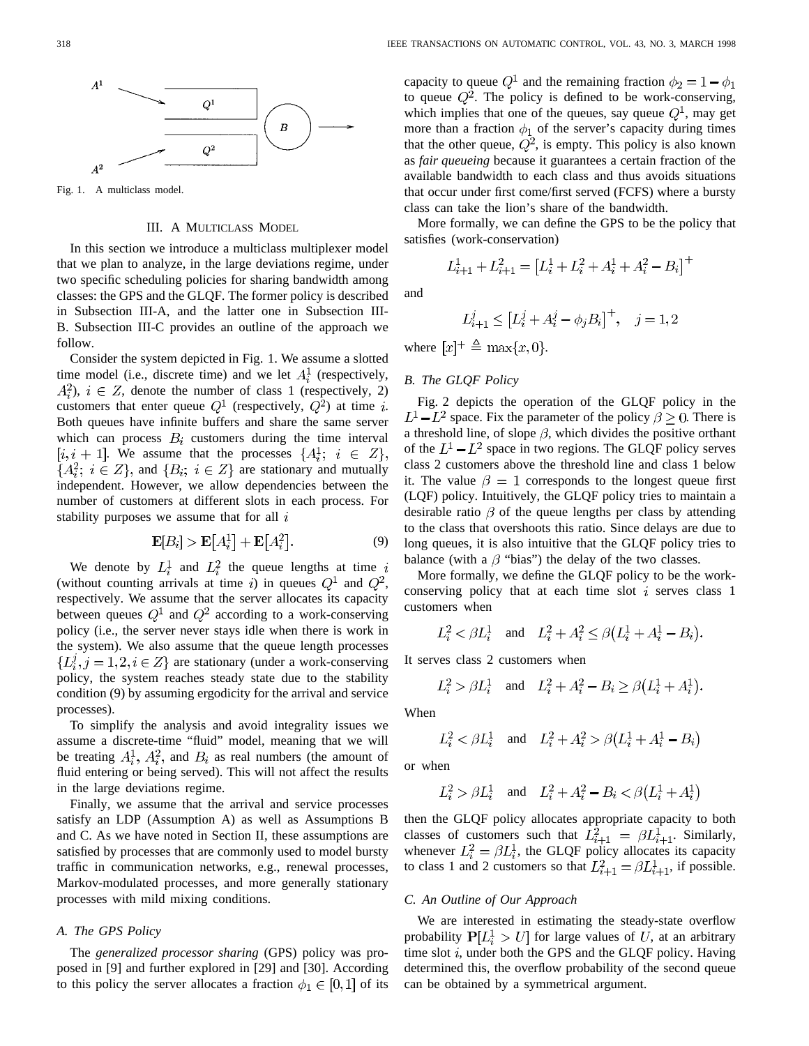

Fig. 1. A multiclass model.

# III. A MULTICLASS MODEL

In this section we introduce a multiclass multiplexer model that we plan to analyze, in the large deviations regime, under two specific scheduling policies for sharing bandwidth among classes: the GPS and the GLQF. The former policy is described in Subsection III-A, and the latter one in Subsection III-B. Subsection III-C provides an outline of the approach we follow.

Consider the system depicted in Fig. 1. We assume a slotted time model (i.e., discrete time) and we let  $A_i^1$  (respectively,  $A_i^2$ ,  $i \in \mathbb{Z}$ , denote the number of class 1 (respectively, 2) customers that enter queue  $Q^1$  (respectively,  $Q^2$ ) at time *i*. Both queues have infinite buffers and share the same server which can process  $B_i$  customers during the time interval  $[i, i + 1]$ . We assume that the processes  $\{A_i^1; i \in Z\}$ ,  ${A_i^2; i \in Z}$ , and  ${B_i; i \in Z}$  are stationary and mutually independent. However, we allow dependencies between the number of customers at different slots in each process. For stability purposes we assume that for all  $i$ 

$$
\mathbf{E}[B_i] > \mathbf{E}[A_i^1] + \mathbf{E}[A_i^2].\tag{9}
$$

We denote by  $L_i^1$  and  $L_i^2$  the queue lengths at time (without counting arrivals at time i) in queues  $Q^1$  and  $Q^2$ , respectively. We assume that the server allocates its capacity between queues  $Q^1$  and  $Q^2$  according to a work-conserving policy (i.e., the server never stays idle when there is work in the system). We also assume that the queue length processes  $\{L_i^j, j = 1, 2, i \in \mathbb{Z}\}\$ are stationary (under a work-conserving policy, the system reaches steady state due to the stability condition (9) by assuming ergodicity for the arrival and service processes).

To simplify the analysis and avoid integrality issues we assume a discrete-time "fluid" model, meaning that we will be treating  $A_i^1$ ,  $A_i^2$ , and  $B_i$  as real numbers (the amount of fluid entering or being served). This will not affect the results in the large deviations regime.

Finally, we assume that the arrival and service processes satisfy an LDP (Assumption A) as well as Assumptions B and C. As we have noted in Section II, these assumptions are satisfied by processes that are commonly used to model bursty traffic in communication networks, e.g., renewal processes, Markov-modulated processes, and more generally stationary processes with mild mixing conditions.

# *A. The GPS Policy*

The *generalized processor sharing* (GPS) policy was proposed in [9] and further explored in [29] and [30]. According to this policy the server allocates a fraction  $\phi_1 \in [0,1]$  of its capacity to queue  $Q^1$  and the remaining fraction  $\phi_2 = 1 - \phi_1$ to queue  $Q^2$ . The policy is defined to be work-conserving, which implies that one of the queues, say queue  $Q^1$ , may get more than a fraction  $\phi_1$  of the server's capacity during times that the other queue,  $Q^2$ , is empty. This policy is also known as *fair queueing* because it guarantees a certain fraction of the available bandwidth to each class and thus avoids situations that occur under first come/first served (FCFS) where a bursty class can take the lion's share of the bandwidth.

More formally, we can define the GPS to be the policy that satisfies (work-conservation)

$$
L_{i+1}^1 + L_{i+1}^2 = [L_i^1 + L_i^2 + A_i^1 + A_i^2 - B_i]^+
$$

and

$$
L_{i+1}^j \le \left[L_i^j + A_i^j - \phi_j B_i\right]^+, \quad j = 1, 2
$$

where  $[x]^+ \triangleq \max\{x, 0\}.$ 

# *B. The GLQF Policy*

Fig. 2 depicts the operation of the GLQF policy in the  $L^1 - L^2$  space. Fix the parameter of the policy  $\beta \ge 0$ . There is a threshold line, of slope  $\beta$ , which divides the positive orthant of the  $L^1 - L^2$  space in two regions. The GLQF policy serves class 2 customers above the threshold line and class 1 below it. The value  $\beta = 1$  corresponds to the longest queue first (LQF) policy. Intuitively, the GLQF policy tries to maintain a desirable ratio  $\beta$  of the queue lengths per class by attending to the class that overshoots this ratio. Since delays are due to long queues, it is also intuitive that the GLQF policy tries to balance (with a  $\beta$  "bias") the delay of the two classes.

More formally, we define the GLQF policy to be the workconserving policy that at each time slot  $i$  serves class 1 customers when

$$
L_i^2 < \beta L_i^1
$$
 and  $L_i^2 + A_i^2 \le \beta (L_i^1 + A_i^1 - B_i)$ .

It serves class 2 customers when

$$
L_i^2 > \beta L_i^1
$$
 and  $L_i^2 + A_i^2 - B_i \ge \beta (L_i^1 + A_i^1)$ .

When

$$
L_i^2 < \beta L_i^1 \quad \text{and} \quad L_i^2 + A_i^2 > \beta \left(L_i^1 + A_i^1 - B_i\right)
$$

or when

$$
L_i^2 > \beta L_i^1 \quad \text{and} \quad L_i^2 + A_i^2 - B_i < \beta \left( L_i^1 + A_i^1 \right)
$$

then the GLQF policy allocates appropriate capacity to both classes of customers such that  $L_{i+1}^2 = \beta L_{i+1}^1$ . Similarly, whenever  $L_i^2 = \beta L_i^1$ , the GLQF policy allocates its capacity to class 1 and 2 customers so that  $L_{i+1}^2 = \beta L_{i+1}^1$ , if possible.

## *C. An Outline of Our Approach*

We are interested in estimating the steady-state overflow probability  $P[L_i^1 > U]$  for large values of U, at an arbitrary time slot  $i$ , under both the GPS and the GLQF policy. Having determined this, the overflow probability of the second queue can be obtained by a symmetrical argument.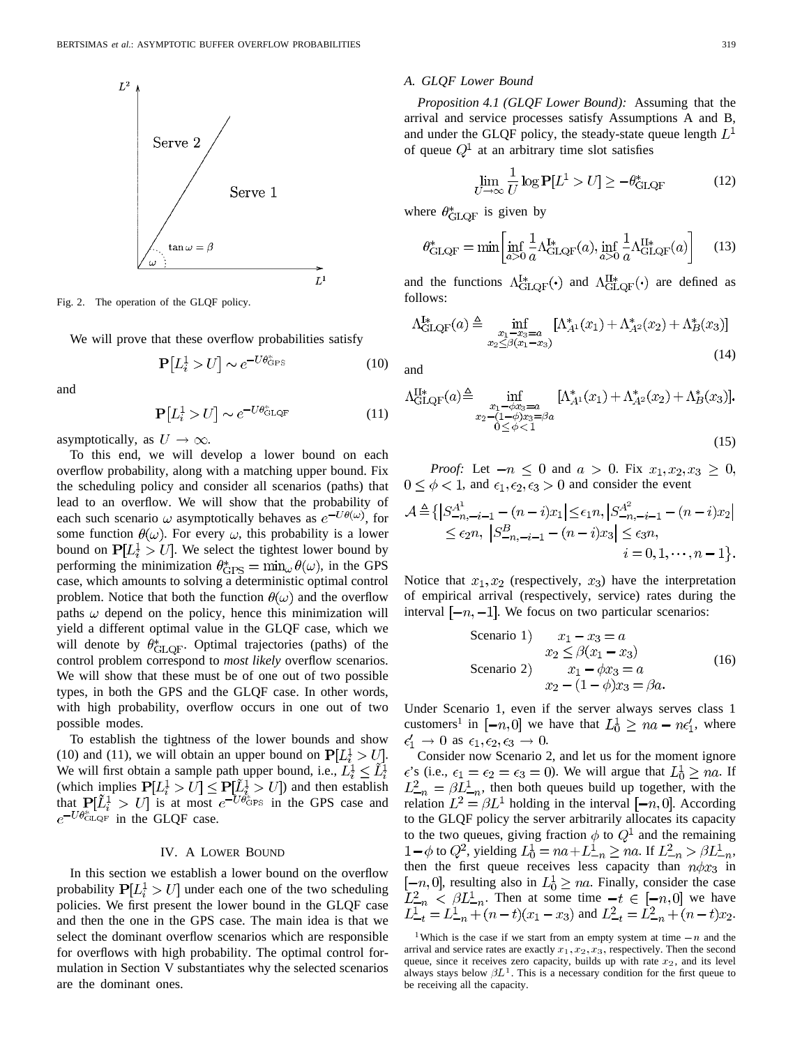

Fig. 2. The operation of the GLQF policy.

We will prove that these overflow probabilities satisfy

$$
\mathbf{P}[L_i^1 > U] \sim e^{-U\theta_{\text{GPS}}^*}
$$
 (10)

and

$$
\mathbf{P}[L_i^1 > U] \sim e^{-U\theta_{\text{GLQF}}^*}
$$
 (11)

asymptotically, as  $U \to \infty$ .

To this end, we will develop a lower bound on each overflow probability, along with a matching upper bound. Fix the scheduling policy and consider all scenarios (paths) that lead to an overflow. We will show that the probability of each such scenario  $\omega$  asymptotically behaves as  $e^{-U\theta(\omega)}$ , for some function  $\theta(\omega)$ . For every  $\omega$ , this probability is a lower bound on  $P[L_i^1 > U]$ . We select the tightest lower bound by performing the minimization  $\theta_{\text{GPS}}^* = \min_{\omega} \theta(\omega)$ , in the GPS case, which amounts to solving a deterministic optimal control problem. Notice that both the function  $\theta(\omega)$  and the overflow paths  $\omega$  depend on the policy, hence this minimization will yield a different optimal value in the GLQF case, which we will denote by  $\theta^*_{\text{GLOF}}$ . Optimal trajectories (paths) of the control problem correspond to *most likely* overflow scenarios. We will show that these must be of one out of two possible types, in both the GPS and the GLQF case. In other words, with high probability, overflow occurs in one out of two possible modes.

To establish the tightness of the lower bounds and show (10) and (11), we will obtain an upper bound on  $P[L_i^1 > U]$ . We will first obtain a sample path upper bound, i.e.,  $L_i^1 \leq L_i^1$ (which implies  $P[L_i^1 > U] \leq P[L_i^1 > U]$ ) and then establish that  $P[L_i^1 > U]$  is at most  $e^{-U\theta_{\text{GPS}}}$  in the GPS case and  $e^{-U\theta^*_{\text{GLQF}}}$  in the GLQF case.

#### IV. A LOWER BOUND

In this section we establish a lower bound on the overflow probability  $P[L_i^1 > U]$  under each one of the two scheduling policies. We first present the lower bound in the GLQF case and then the one in the GPS case. The main idea is that we select the dominant overflow scenarios which are responsible for overflows with high probability. The optimal control formulation in Section V substantiates why the selected scenarios are the dominant ones.

## *A. GLQF Lower Bound*

*Proposition 4.1 (GLQF Lower Bound):* Assuming that the arrival and service processes satisfy Assumptions A and B, and under the GLQF policy, the steady-state queue length  $L<sup>1</sup>$ of queue  $Q^1$  at an arbitrary time slot satisfies

$$
\lim_{U \to \infty} \frac{1}{U} \log \mathbf{P}[L^1 > U] \ge -\theta_{\text{GLQF}}^* \tag{12}
$$

where  $\theta_{\text{GLOF}}^*$  is given by

$$
\theta_{\text{GLQF}}^* = \min \left[ \inf_{a>0} \frac{1}{a} \Lambda_{\text{GLQF}}^{\text{I}*}(a), \inf_{a>0} \frac{1}{a} \Lambda_{\text{GLQF}}^{\text{II}*}(a) \right] \tag{13}
$$

and the functions  $\Lambda_{\text{GLOF}}^{I*}(\cdot)$  and  $\Lambda_{\text{GLOF}}^{II*}(\cdot)$  are defined as follows:

$$
\Lambda_{\text{GLQF}}^{I*}(a) \triangleq \inf_{\substack{x_1 - x_3 = a \\ x_2 \le \beta(x_1 - x_3)}} \left[ \Lambda_{A^1}^*(x_1) + \Lambda_{A^2}^*(x_2) + \Lambda_B^*(x_3) \right]
$$
\n(14)

and

$$
\Lambda_{\text{GLQF}}^{\text{II}*}(a) \triangleq \inf_{\substack{x_1 - \phi x_3 = a \\ x_2 - (1 - \phi)x_3 = \beta a \\ 0 \le \phi < 1}} [\Lambda_{A^1}^*(x_1) + \Lambda_{A^2}^*(x_2) + \Lambda_B^*(x_3)].
$$
\n(15)

*Proof:* Let  $-n \leq 0$  and  $a > 0$ . Fix  $x_1, x_2, x_3 \geq 0$ ,  $0 \leq \phi < 1$ , and  $\epsilon_1, \epsilon_2, \epsilon_3 > 0$  and consider the event

$$
\mathcal{A} \triangleq \{ \left| S_{-n,-i-1}^{A^1} - (n-i)x_1 \right| \le \epsilon_1 n, \left| S_{-n,-i-1}^{A^2} - (n-i)x_2 \right| \\ \le \epsilon_2 n, \left| S_{-n,-i-1}^{B} - (n-i)x_3 \right| \le \epsilon_3 n, \\ i = 0, 1, \dots, n-1 \}.
$$

Notice that  $x_1, x_2$  (respectively,  $x_3$ ) have the interpretation of empirical arrival (respectively, service) rates during the interval  $[-n, -1]$ . We focus on two particular scenarios:

| Scenario 1                      | $x_1 - x_3 = a$      |
|---------------------------------|----------------------|
| $x_2 \leq \beta(x_1 - x_3)$     | (16)                 |
| Scenario 2                      | $x_1 - \phi x_3 = a$ |
| $x_2 - (1 - \phi)x_3 = \beta a$ |                      |

Under Scenario 1, even if the server always serves class 1 customers<sup>1</sup> in  $[-n,0]$  we have that  $L_0^1 \ge na - n\epsilon_1'$ , where  $\epsilon'_1 \to 0$  as  $\epsilon_1, \epsilon_2, \epsilon_3 \to 0$ .

Consider now Scenario 2, and let us for the moment ignore  $\epsilon$ 's (i.e.,  $\epsilon_1 = \epsilon_2 = \epsilon_3 = 0$ ). We will argue that  $L_0^1 \ge na$ . If  $L_{-n}^2 = \beta L_{-n}^1$ , then both queues build up together, with the relation  $L^2 = \beta L^1$  holding in the interval  $[-n, 0]$ . According to the GLQF policy the server arbitrarily allocates its capacity to the two queues, giving fraction  $\phi$  to  $Q^1$  and the remaining  $1 - \phi$  to  $Q^2$ , yielding  $L_0^1 = na + L_{-n}^1 \ge na$ . If  $L_{-n}^2 > \beta L_{-n}^1$ , then the first queue receives less capacity than  $n\phi x_3$  in  $[-n, 0]$ , resulting also in  $L_0^1 \ge na$ . Finally, consider the case . Then at some time  $-t \in [-n,0]$  we have and  $L_{-t}^2 = L_{-n}^2 + (n-t)x_2$ .  $\frac{1}{1-t} = L_{-n}^1 + (n-t)(x_1 - x_3)$  and  $L_{-t}^2 = L_{-n}^2 + (n-t)x_2$ .<br>
<sup>1</sup>Which is the case if we start from an empty system at time  $-n$  and the

arrival and service rates are exactly  $x_1, x_2, x_3$ , respectively. Then the second queue, since it receives zero capacity, builds up with rate  $x_2$ , and its level always stays below  $\beta L^1$ . This is a necessary condition for the first queue to be receiving all the capacity.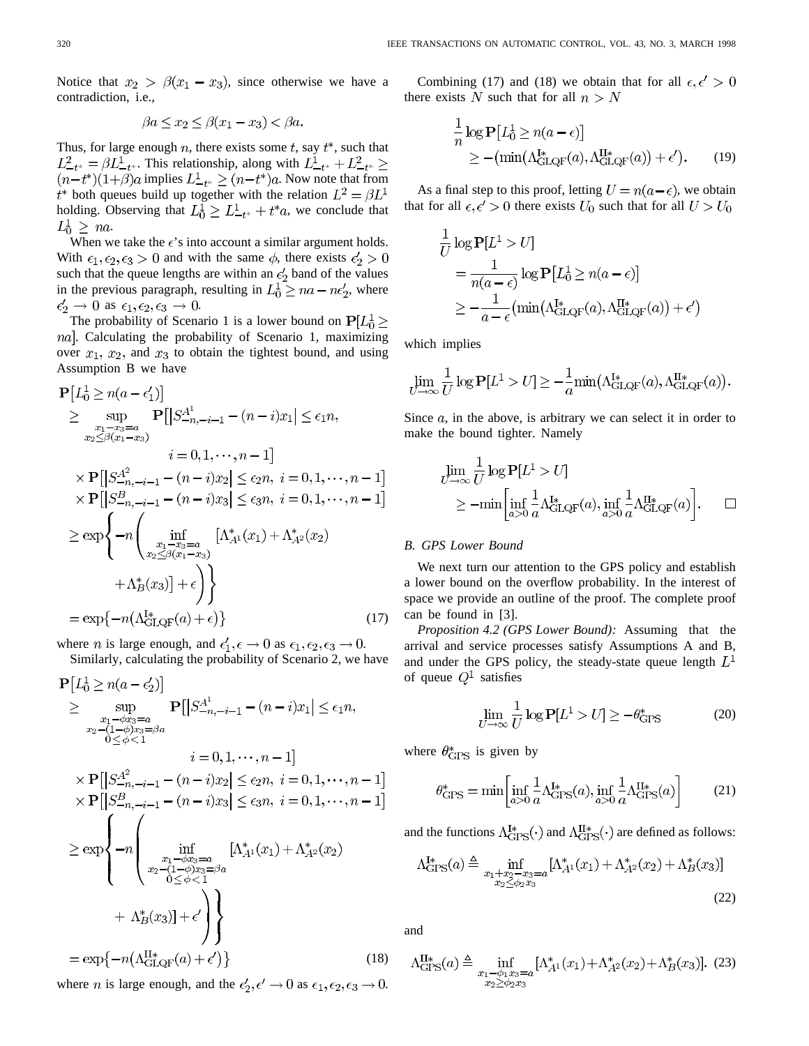Notice that  $x_2 > \beta(x_1 - x_3)$ , since otherwise we have a contradiction, i.e.,

$$
\beta a \le x_2 \le \beta(x_1 - x_3) < \beta a.
$$

Thus, for large enough  $n$ , there exists some  $t$ , say  $t^*$ , such that  $L_{-t^*}^2 = \beta L_{-t^*}^1$ . This relationship, along with  $L_{-t^*}^1 + L_{-t^*}^2 \ge$ implies  $L_{-t^*}^1 \ge (n-t^*)a$ . Now note that from both queues build up together with the relation holding. Observing that  $L_0^1 \geq L_{-t^*}^1 + t^* a$ , we conclude that  $L_0^1 \geq na$ .

When we take the  $\epsilon$ 's into account a similar argument holds. With  $\epsilon_1, \epsilon_2, \epsilon_3 > 0$  and with the same  $\phi$ , there exists  $\epsilon'_2 > 0$ such that the queue lengths are within an  $\epsilon_2$  band of the values in the previous paragraph, resulting in  $L_0^1 \ge na - n\epsilon_2'$ , where as  $\epsilon_1, \epsilon_2, \epsilon_3 \to 0$ .

The probability of Scenario 1 is a lower bound on  $P[L_0^1]$ nal. Calculating the probability of Scenario 1, maximizing over  $x_1, x_2$ , and  $x_3$  to obtain the tightest bound, and using Assumption B we have

$$
P[L_0^1 \ge n(a - \epsilon_1')]
$$
  
\n
$$
\ge \sup_{\substack{x_1 - x_3 = a \\ x_2 \le \beta(x_1 - x_3)}} P[|S_{-n, -i-1}^{A^1} - (n - i)x_1| \le \epsilon_1 n,
$$
  
\n
$$
i = 0, 1, \dots, n - 1]
$$
  
\n
$$
\times P[|S_{-n, -i-1}^{A^2} - (n - i)x_2| \le \epsilon_2 n, i = 0, 1, \dots, n - 1]
$$
  
\n
$$
\times P[|S_{-n, -i-1}^{B^1} - (n - i)x_3| \le \epsilon_3 n, i = 0, 1, \dots, n - 1]
$$
  
\n
$$
\ge \exp\left\{-n \left(\inf_{\substack{x_1 - x_3 = a \\ x_2 \le \beta(x_1 - x_3)}} [\Lambda_{A^1}^*(x_1) + \Lambda_{A^2}^*(x_2) + \Lambda_{B}^*(x_3)] + \epsilon\right)\right\}
$$
  
\n
$$
+ \Lambda_{B}^*(x_3)] + \epsilon\right\}
$$
  
\n
$$
= \exp\{-n(\Lambda_{GLQF}^{I*}(a) + \epsilon)\}
$$
 (17)

where *n* is large enough, and  $\epsilon'_1$ ,  $\epsilon \to 0$  as  $\epsilon_1$ ,  $\epsilon_2$ ,  $\epsilon_3 \to 0$ .

Similarly, calculating the probability of Scenario 2, we have

$$
\mathbf{P}[L_0^1 \ge n(a - \epsilon_2')]
$$
\n
$$
\ge \sup_{\substack{x_1 - \phi x_3 = a \\ 0 \le \phi < 1}} \mathbf{P}[|S_{-n, -i-1}^{A^1} - (n - i)x_1| \le \epsilon_1 n,
$$
\n
$$
x_2 - (1 - \phi)x_3 = \beta a
$$
\n
$$
i = 0, 1, \dots, n - 1]
$$
\n
$$
\times \mathbf{P}[|S_{-n, -i-1}^{A^2} - (n - i)x_2| \le \epsilon_2 n, i = 0, 1, \dots, n - 1]
$$
\n
$$
\times \mathbf{P}[|S_{-n, -i-1}^{B^2} - (n - i)x_3| \le \epsilon_3 n, i = 0, 1, \dots, n - 1]
$$
\n
$$
\ge \exp\left\{-n \left(\inf_{\substack{x_1 - \phi x_3 = a \\ x_2 - (1 - \phi)x_3 = \beta a}} [A_A^*(x_1) + A_A^*(x_2) + A_B^*(x_3)) + \epsilon'\right)\right\}
$$
\n
$$
+ \Lambda_B^*(x_3)| + \epsilon' \right\}
$$
\n
$$
= \exp\{-n(\Lambda_{GLQF}^{H*}(a) + \epsilon')\}
$$
\n(18)

where *n* is large enough, and the  $\epsilon'_2$ ,  $\epsilon' \rightarrow 0$  as  $\epsilon_1$ ,  $\epsilon_2$ ,  $\epsilon_3 \rightarrow 0$ .

Combining (17) and (18) we obtain that for all  $\epsilon, \epsilon' > 0$ there exists N such that for all  $n > N$ 

$$
\frac{1}{n}\log P[L_0^1 \ge n(a-\epsilon)]
$$
  
 
$$
\ge -(\min(\Lambda_{\rm GLQF}^{I*}(a), \Lambda_{\rm GLQF}^{II*}(a)) + \epsilon').
$$
 (19)

As a final step to this proof, letting  $U = n(a - \epsilon)$ , we obtain that for all  $\epsilon, \epsilon' > 0$  there exists  $U_0$  such that for all  $U > U_0$ 

$$
\frac{1}{U} \log \mathbf{P}[L^1 > U]
$$
\n
$$
= \frac{1}{n(a - \epsilon)} \log \mathbf{P}[L_0^1 \ge n(a - \epsilon)]
$$
\n
$$
\ge -\frac{1}{a - \epsilon} (\min(\Lambda_{\text{GLQF}}^{\text{I*}}(a), \Lambda_{\text{GLQF}}^{\text{II*}}(a)) + \epsilon')
$$

which implies

$$
\lim_{U \to \infty} \frac{1}{U} \log \mathbf{P}[L^1 > U] \ge -\frac{1}{a} \min(\Lambda_{\text{GLQF}}^{\mathbf{I}*}(a), \Lambda_{\text{GLQF}}^{\mathbf{II}*}(a)).
$$

Since  $a$ , in the above, is arbitrary we can select it in order to make the bound tighter. Namely

$$
\lim_{U \to \infty} \frac{1}{U} \log \mathbf{P}[L^1 > U] \n\ge -\min \left[ \inf_{a > 0} \frac{1}{a} \Lambda_{\text{GLQF}}^{I*}(a), \inf_{a > 0} \frac{1}{a} \Lambda_{\text{GLQF}}^{II*}(a) \right]. \quad \Box
$$

## *B. GPS Lower Bound*

We next turn our attention to the GPS policy and establish a lower bound on the overflow probability. In the interest of space we provide an outline of the proof. The complete proof can be found in [3].

*Proposition 4.2 (GPS Lower Bound):* Assuming that the arrival and service processes satisfy Assumptions A and B, and under the GPS policy, the steady-state queue length  $L<sup>1</sup>$ of queue  $Q^1$  satisfies

$$
\lim_{U \to \infty} \frac{1}{U} \log \mathbf{P}[L^1 > U] \ge -\theta_{\text{GPS}}^* \tag{20}
$$

where  $\theta_{\text{GPS}}^*$  is given by

$$
\theta_{\rm GPS}^* = \min \left[ \inf_{a>0} \frac{1}{a} \Lambda_{\rm GPS}^{I*}(a), \inf_{a>0} \frac{1}{a} \Lambda_{\rm GPS}^{II*}(a) \right]
$$
(21)

and the functions  $\Lambda_{\text{GPS}}^{I*}(\cdot)$  and  $\Lambda_{\text{GPS}}^{II*}(\cdot)$  are defined as follows:

$$
\Lambda_{\text{GPS}}^{I*}(a) \triangleq \inf_{\substack{x_1 + x_2 - x_3 = a \\ x_2 \le \phi_2 x_3}} [\Lambda_{A^1}^*(x_1) + \Lambda_{A^2}^*(x_2) + \Lambda_B^*(x_3)] \tag{22}
$$

and

$$
\Lambda_{\text{GPS}}^{\text{II}*}(a) \triangleq \inf_{\substack{x_1 - \phi_1 x_3 = a \\ x_2 \ge \phi_2 x_3}} [\Lambda_{A^1}^*(x_1) + \Lambda_{A^2}^*(x_2) + \Lambda_B^*(x_3)]. \tag{23}
$$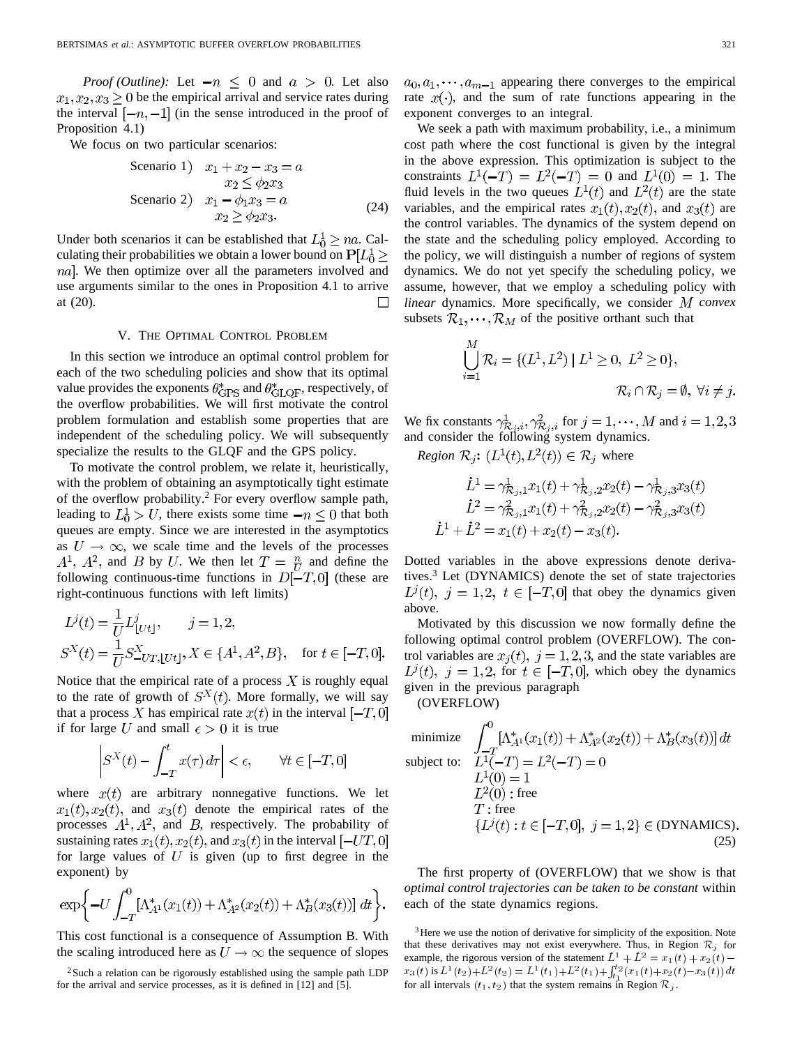*Proof (Outline):* Let  $-n \leq 0$  and  $a > 0$ . Let also  $x_1, x_2, x_3 \geq 0$  be the empirical arrival and service rates during the interval  $[-n, -1]$  (in the sense introduced in the proof of Proposition 4.1)

We focus on two particular scenarios:

| Scenario 1            | $x_1 + x_2 - x_3 = a$  |
|-----------------------|------------------------|
| $x_2 \leq \phi_2 x_3$ |                        |
| Scenario 2            | $x_1 - \phi_1 x_3 = a$ |
| $x_2 \geq \phi_2 x_3$ |                        |

\n
$$
(24)
$$

Under both scenarios it can be established that  $L_0^1 \ge na$ . Calculating their probabilities we obtain a lower bound on  $P[L_0^1]$ *na*. We then optimize over all the parameters involved and use arguments similar to the ones in Proposition 4.1 to arrive  $\Box$ at (20).

## V. THE OPTIMAL CONTROL PROBLEM

In this section we introduce an optimal control problem for each of the two scheduling policies and show that its optimal value provides the exponents  $\theta_{\rm GPS}^*$  and  $\theta_{\rm GLQF}^*$ , respectively, of the overflow probabilities. We will first motivate the control problem formulation and establish some properties that are independent of the scheduling policy. We will subsequently specialize the results to the GLQF and the GPS policy.

To motivate the control problem, we relate it, heuristically, with the problem of obtaining an asymptotically tight estimate of the overflow probability.<sup>2</sup> For every overflow sample path, leading to  $L_0^1 > U$ , there exists some time  $-n \leq 0$  that both queues are empty. Since we are interested in the asymptotics as  $U \rightarrow \infty$ , we scale time and the levels of the processes  $A^1$ ,  $A^2$ , and B by U. We then let  $T = \frac{n}{U}$  and define the following continuous-time functions in  $D[-T,0]$  (these are right-continuous functions with left limits)

$$
L^{j}(t) = \frac{1}{U}L^{j}_{[Ut]}, \qquad j = 1, 2,
$$
  
\n
$$
S^{X}(t) = \frac{1}{U}S^{X}_{-UT,[Ut]}, X \in \{A^{1}, A^{2}, B\}, \quad \text{for } t \in [-T, 0].
$$

Notice that the empirical rate of a process  $X$  is roughly equal to the rate of growth of  $S^{X}(t)$ . More formally, we will say that a process X has empirical rate  $x(t)$  in the interval  $[-T,0]$ if for large U and small  $\epsilon > 0$  it is true

$$
S^{X}(t) - \int_{-T}^{t} x(\tau) d\tau \Big| < \epsilon, \qquad \forall t \in [-T, 0]
$$

where  $x(t)$  are arbitrary nonnegative functions. We let  $x_1(t), x_2(t)$ , and  $x_3(t)$  denote the empirical rates of the processes  $A^1, A^2$ , and B, respectively. The probability of sustaining rates  $x_1(t)$ ,  $x_2(t)$ , and  $x_3(t)$  in the interval  $[-UT,0]$ for large values of  $U$  is given (up to first degree in the exponent) by

$$
\exp\bigg\{-U\int_{-T}^{0}[\Lambda_{A^1}^*(x_1(t)) + \Lambda_{A^2}^*(x_2(t)) + \Lambda_B^*(x_3(t))] dt\bigg\}.
$$

This cost functional is a consequence of Assumption B. With the scaling introduced here as  $U \rightarrow \infty$  the sequence of slopes  $a_0, a_1, \dots, a_{m-1}$  appearing there converges to the empirical rate  $x(\cdot)$ , and the sum of rate functions appearing in the exponent converges to an integral.

We seek a path with maximum probability, *i.e.*, a minimum cost path where the cost functional is given by the integral in the above expression. This optimization is subject to the constraints  $L^{1}(-T) = L^{2}(-T) = 0$  and  $L^{1}(0) = 1$ . The fluid levels in the two queues  $L^{1}(t)$  and  $L^{2}(t)$  are the state variables, and the empirical rates  $x_1(t), x_2(t)$ , and  $x_3(t)$  are the control variables. The dynamics of the system depend on the state and the scheduling policy employed. According to the policy, we will distinguish a number of regions of system dynamics. We do not yet specify the scheduling policy, we assume, however, that we employ a scheduling policy with *linear* dynamics. More specifically, we consider  $M$  convex subsets  $\mathcal{R}_1, \cdots, \mathcal{R}_M$  of the positive orthant such that

$$
\bigcup_{i=1}^{M} \mathcal{R}_i = \{ (L^1, L^2) \mid L^1 \ge 0, L^2 \ge 0 \},
$$
  

$$
\mathcal{R}_i \cap \mathcal{R}_i = \emptyset, \forall i \ne j.
$$

We fix constants  $\gamma_{\mathcal{R}}^1$ ,  $\gamma_{\mathcal{R}}^2$ , for  $j = 1, \dots, M$  and and consider the following system dynamics.

*Region*  $\mathcal{R}_j$ :  $(L^1(t), L^2(t)) \in \mathcal{R}_j$  where

$$
\dot{L}^1 = \gamma_{\mathcal{R}_j,1}^1 x_1(t) + \gamma_{\mathcal{R}_j,2}^1 x_2(t) - \gamma_{\mathcal{R}_j,3}^1 x_3(t)
$$
\n
$$
\dot{L}^2 = \gamma_{\mathcal{R}_j,1}^2 x_1(t) + \gamma_{\mathcal{R}_j,2}^2 x_2(t) - \gamma_{\mathcal{R}_j,3}^2 x_3(t)
$$
\n
$$
\dot{L}^1 + \dot{L}^2 = x_1(t) + x_2(t) - x_3(t).
$$

Dotted variables in the above expressions denote derivatives.3 Let (DYNAMICS) denote the set of state trajectories  $L^{\jmath}(t)$ ,  $j = 1, 2, t \in [-T, 0]$  that obey the dynamics given above.

Motivated by this discussion we now formally define the following optimal control problem (OVERFLOW). The control variables are  $x_i(t)$ ,  $j = 1, 2, 3$ , and the state variables are  $L^{\gamma}(t)$ ,  $j = 1, 2$ , for  $t \in [-T, 0]$ , which obey the dynamics given in the previous paragraph

(OVERFLOW)

minimize 
$$
\int_{-T}^{0} [\Lambda_{A1}^{*}(x_1(t)) + \Lambda_{A2}^{*}(x_2(t)) + \Lambda_{B}^{*}(x_3(t))] dt
$$
  
subject to: 
$$
L^{1}(-T) = L^{2}(-T) = 0
$$

$$
L^{1}(0) = 1
$$

$$
L^{2}(0) : free
$$

$$
T : free
$$

$$
\{L^{j}(t) : t \in [-T, 0], j = 1, 2\} \in (DYNAMICS)
$$
(25)

The first property of (OVERFLOW) that we show is that *optimal control trajectories can be taken to be constant* within each of the state dynamics regions.

 $2$ Such a relation can be rigorously established using the sample path LDP for the arrival and service processes, as it is defined in [12] and [5].

 $3$  Here we use the notion of derivative for simplicity of the exposition. Note that these derivatives may not exist everywhere. Thus, in Region  $\mathcal{R}_i$  for example, the rigorous version of the statement  $L^1 + L^2 = x_1(t) + x_2(t)$  –  $x_3(t)$  is  $L^1(t_2)+L^2(t_2)=L^1(t_1)+L^2(t_1)+\int_{t_1}^{t_2}(x_1(t)+x_2(t)-x_3(t)) dt$ for all intervals  $(t_1, t_2)$  that the system remains in Region  $\mathcal{R}_j$ .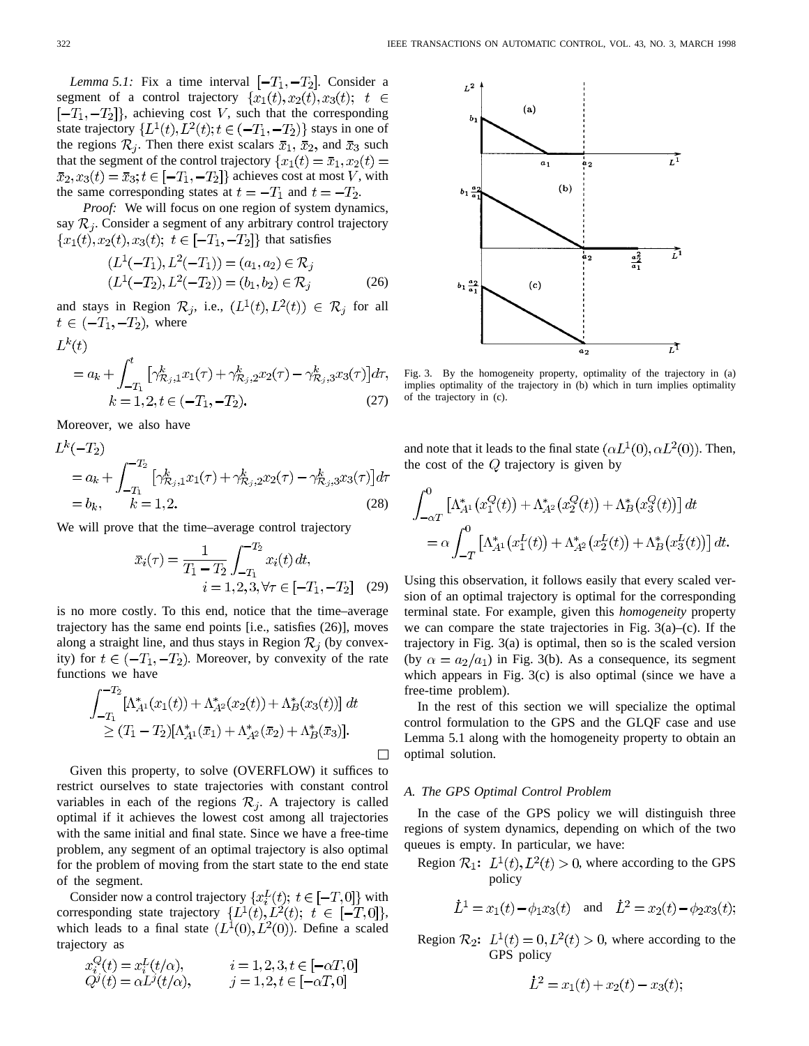*Lemma 5.1:* Fix a time interval  $[-T_1, -T_2]$ . Consider a segment of a control trajectory  $\{x_1(t), x_2(t), x_3(t)\}\; t \in$  $[-T_1, -T_2]$ , achieving cost V, such that the corresponding state trajectory  $\{L^1(t), L^2(t); t \in (-T_1, -T_2)\}$  stays in one of the regions  $\mathcal{R}_j$ . Then there exist scalars  $\bar{x}_1$ ,  $\bar{x}_2$ , and  $\bar{x}_3$  such that the segment of the control trajectory  $\{x_1(t) = \bar{x}_1, x_2(t)\}$  $\bar{x}_2, x_3(t) = \bar{x}_3; t \in [-T_1, -T_2]$  achieves cost at most V, with the same corresponding states at  $t = -T_1$  and  $t = -T_2$ .

*Proof:* We will focus on one region of system dynamics, say  $\mathcal{R}_j$ . Consider a segment of any arbitrary control trajectory  ${x_1(t), x_2(t), x_3(t); t \in [-T_1, -T_2]}$  that satisfies

$$
(L1(-T1), L2(-T1)) = (a1, a2) \in Rj(L1(-T2), L2(-T2)) = (b1, b2) \in Rj
$$
 (26)

and stays in Region  $\mathcal{R}_j$ , i.e.,  $(L^1(t), L^2(t)) \in \mathcal{R}_j$  for all  $t \in (-T_1, -T_2)$ , where

$$
L^{k}(t)
$$
  
=  $a_{k} + \int_{-T_{1}}^{t} [\gamma_{\mathcal{R}_{j},1}^{k} x_{1}(\tau) + \gamma_{\mathcal{R}_{j},2}^{k} x_{2}(\tau) - \gamma_{\mathcal{R}_{j},3}^{k} x_{3}(\tau)] d\tau,$   
 $k = 1, 2, t \in (-T_{1}, -T_{2}).$  (27)

Moreover, we also have

$$
L^{k}(-T_{2})
$$
  
=  $a_{k} + \int_{-T_{1}}^{-T_{2}} \left[ \gamma_{\mathcal{R}_{j},1}^{k} x_{1}(\tau) + \gamma_{\mathcal{R}_{j},2}^{k} x_{2}(\tau) - \gamma_{\mathcal{R}_{j},3}^{k} x_{3}(\tau) \right] d\tau$   
=  $b_{k}, \qquad k = 1, 2.$  (28)

We will prove that the time–average control trajectory

$$
\bar{x}_i(\tau) = \frac{1}{T_1 - T_2} \int_{-T_1}^{-T_2} x_i(t) dt, \n i = 1, 2, 3, \forall \tau \in [-T_1, -T_2]
$$
\n(29)

is no more costly. To this end, notice that the time–average trajectory has the same end points [i.e., satisfies (26)], moves along a straight line, and thus stays in Region  $\mathcal{R}_i$  (by convexity) for  $t \in (-T_1, -T_2)$ . Moreover, by convexity of the rate functions we have

$$
\int_{-T_1}^{-T_2} [\Lambda_{A1}^*(x_1(t)) + \Lambda_{A2}^*(x_2(t)) + \Lambda_B^*(x_3(t))] dt
$$
  
\n
$$
\ge (T_1 - T_2) [\Lambda_{A1}^*(\bar{x}_1) + \Lambda_{A2}^*(\bar{x}_2) + \Lambda_B^*(\bar{x}_3)].
$$

Given this property, to solve (OVERFLOW) it suffices to restrict ourselves to state trajectories with constant control variables in each of the regions  $\mathcal{R}_j$ . A trajectory is called optimal if it achieves the lowest cost among all trajectories with the same initial and final state. Since we have a free-time problem, any segment of an optimal trajectory is also optimal for the problem of moving from the start state to the end state of the segment.

Consider now a control trajectory  $\{x_i^L(t); t \in [-T,0]\}$  with corresponding state trajectory  $\{L^1(t), L^2(t); t \in [-T,0]\},$ which leads to a final state  $(L^1(0), L^2(0))$ . Define a scaled trajectory as

$$
x_i^Q(t) = x_i^L(t/\alpha), \qquad i = 1, 2, 3, t \in [-\alpha T, 0]
$$
  
\n
$$
Q^j(t) = \alpha L^j(t/\alpha), \qquad j = 1, 2, t \in [-\alpha T, 0]
$$



Fig. 3. By the homogeneity property, optimality of the trajectory in (a) implies optimality of the trajectory in (b) which in turn implies optimality of the trajectory in (c).

and note that it leads to the final state  $(\alpha L^1(0), \alpha L^2(0))$ . Then, the cost of the  $Q$  trajectory is given by

$$
\int_{-\alpha T}^{0} \left[ \Lambda_{A^1}^*(x_1^Q(t)) + \Lambda_{A^2}^*(x_2^Q(t)) + \Lambda_B^*(x_3^Q(t)) \right] dt
$$
  
=  $\alpha \int_{-T}^{0} \left[ \Lambda_{A^1}^*(x_1^L(t)) + \Lambda_{A^2}^*(x_2^L(t)) + \Lambda_B^*(x_3^L(t)) \right] dt.$ 

Using this observation, it follows easily that every scaled version of an optimal trajectory is optimal for the corresponding terminal state. For example, given this *homogeneity* property we can compare the state trajectories in Fig.  $3(a)$ –(c). If the trajectory in Fig. 3(a) is optimal, then so is the scaled version (by  $\alpha = a_2/a_1$ ) in Fig. 3(b). As a consequence, its segment which appears in Fig. 3(c) is also optimal (since we have a free-time problem).

In the rest of this section we will specialize the optimal control formulation to the GPS and the GLQF case and use Lemma 5.1 along with the homogeneity property to obtain an optimal solution.

# *A. The GPS Optimal Control Problem*

 $\Box$ 

In the case of the GPS policy we will distinguish three regions of system dynamics, depending on which of the two queues is empty. In particular, we have:

Region  $\mathcal{R}_1$ :  $L^1(t)$ ,  $L^2(t) > 0$ , where according to the GPS policy

$$
\dot{L}^1 = x_1(t) - \phi_1 x_3(t)
$$
 and  $\dot{L}^2 = x_2(t) - \phi_2 x_3(t);$ 

Region  $\mathcal{R}_2$ :  $L^1(t) = 0, L^2(t) > 0$ , where according to the GPS policy

$$
\dot{L}^2 = x_1(t) + x_2(t) - x_3(t);
$$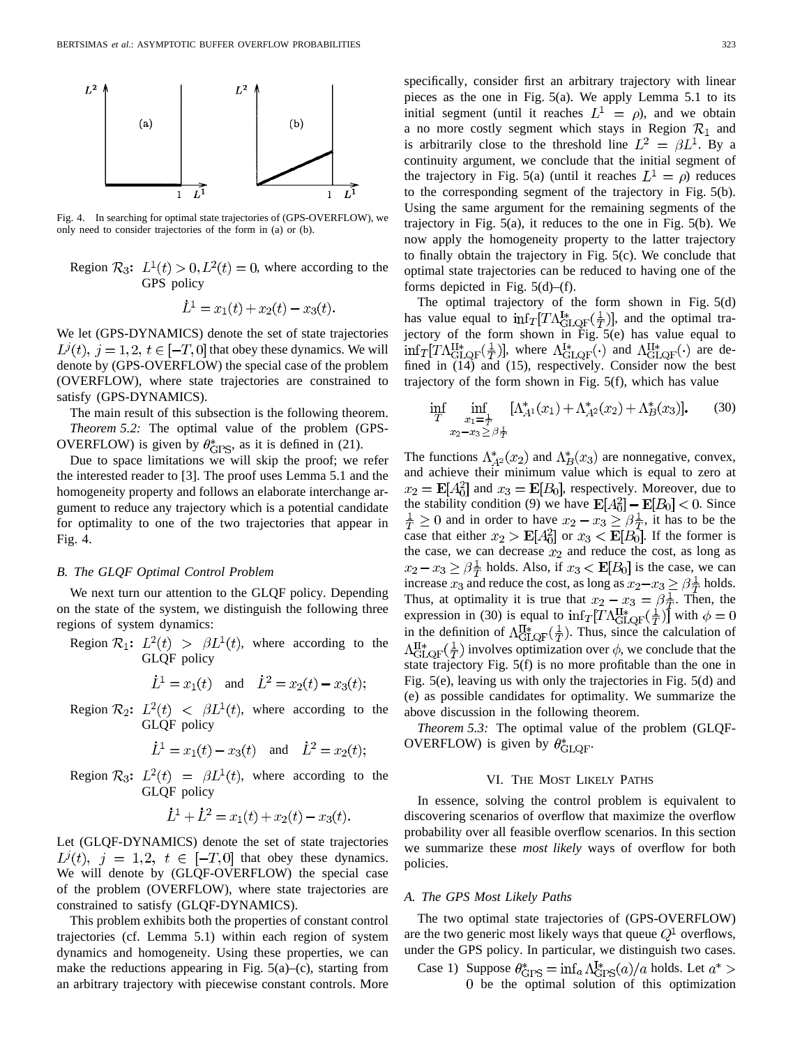

Fig. 4. In searching for optimal state trajectories of (GPS-OVERFLOW), we only need to consider trajectories of the form in (a) or (b).

Region  $\mathcal{R}_3$ :  $L^1(t) > 0, L^2(t) = 0$ , where according to the GPS policy

$$
\dot{L}^1 = x_1(t) + x_2(t) - x_3(t).
$$

We let (GPS-DYNAMICS) denote the set of state trajectories  $L^{j}(t), j = 1, 2, t \in [-T, 0]$  that obey these dynamics. We will denote by (GPS-OVERFLOW) the special case of the problem (OVERFLOW), where state trajectories are constrained to satisfy (GPS-DYNAMICS).

The main result of this subsection is the following theorem. *Theorem 5.2:* The optimal value of the problem (GPS-OVERFLOW) is given by  $\theta_{\text{GPS}}^*$ , as it is defined in (21).

Due to space limitations we will skip the proof; we refer the interested reader to [3]. The proof uses Lemma 5.1 and the homogeneity property and follows an elaborate interchange argument to reduce any trajectory which is a potential candidate for optimality to one of the two trajectories that appear in Fig. 4.

# *B. The GLQF Optimal Control Problem*

We next turn our attention to the GLQF policy. Depending on the state of the system, we distinguish the following three regions of system dynamics:

Region  $\mathcal{R}_1$ :  $L^2(t) > \beta L^1(t)$ , where according to the GLQF policy

$$
\dot{L}^1 = x_1(t)
$$
 and  $\dot{L}^2 = x_2(t) - x_3(t);$ 

Region  $\mathcal{R}_2$ :  $L^2(t) < \beta L^1(t)$ , where according to the GLQF policy

$$
\dot{L}^1 = x_1(t) - x_3(t)
$$
 and  $\dot{L}^2 = x_2(t)$ ;

Region  $\mathcal{R}_3$ :  $L^2(t) = \beta L^1(t)$ , where according to the GLQF policy

$$
\dot{L}^1 + \dot{L}^2 = x_1(t) + x_2(t) - x_3(t).
$$

Let (GLQF-DYNAMICS) denote the set of state trajectories  $L^{j}(t)$ ,  $j = 1,2, t \in [-T,0]$  that obey these dynamics. We will denote by (GLQF-OVERFLOW) the special case of the problem (OVERFLOW), where state trajectories are constrained to satisfy (GLQF-DYNAMICS).

This problem exhibits both the properties of constant control trajectories (cf. Lemma 5.1) within each region of system dynamics and homogeneity. Using these properties, we can make the reductions appearing in Fig.  $5(a)$ –(c), starting from an arbitrary trajectory with piecewise constant controls. More specifically, consider first an arbitrary trajectory with linear pieces as the one in Fig. 5(a). We apply Lemma 5.1 to its initial segment (until it reaches  $L^1 = \rho$ ), and we obtain a no more costly segment which stays in Region  $\mathcal{R}_1$  and is arbitrarily close to the threshold line  $L^2 = \beta L^1$ . By a continuity argument, we conclude that the initial segment of the trajectory in Fig. 5(a) (until it reaches  $L^1 = \rho$ ) reduces to the corresponding segment of the trajectory in Fig. 5(b). Using the same argument for the remaining segments of the trajectory in Fig. 5(a), it reduces to the one in Fig. 5(b). We now apply the homogeneity property to the latter trajectory to finally obtain the trajectory in Fig. 5(c). We conclude that optimal state trajectories can be reduced to having one of the forms depicted in Fig.  $5(d)$ –(f).

The optimal trajectory of the form shown in Fig. 5(d) has value equal to  $\inf_T[T\Lambda_{\text{GLQF}}^{1*}(\frac{1}{T})]$ , and the optimal trajectory of the form shown in Fig.  $5(e)$  has value equal to  $\inf_T[T\Lambda_{\text{GLOF}}^{\text{II}*}(\frac{1}{T})],$  where  $\Lambda_{\text{GLOF}}^{\text{I}*}(\cdot)$  and  $\Lambda_{\text{GLOF}}^{\text{II}*}(\cdot)$  are defined in (14) and (15), respectively. Consider now the best trajectory of the form shown in Fig. 5(f), which has value

$$
\inf_{T} \inf_{\substack{x_1 = \frac{1}{T} \\ x_2 - x_3 \ge \beta \frac{1}{T}}} [\Lambda_{A^1}^*(x_1) + \Lambda_{A^2}^*(x_2) + \Lambda_B^*(x_3)]. \tag{30}
$$

The functions  $\Lambda_{A^2}^*(x_2)$  and  $\Lambda_B^*(x_3)$  are nonnegative, convex, and achieve their minimum value which is equal to zero at  $x_2 = \mathbf{E}[A_0^2]$  and  $x_3 = \mathbf{E}[B_0]$ , respectively. Moreover, due to the stability condition (9) we have  $\mathbf{E}[A_0^2] - \mathbf{E}[B_0] < 0$ . Since  $\frac{1}{T} \geq 0$  and in order to have  $x_2 - x_3 \geq \beta \frac{1}{T}$ , it has to be the case that either  $x_2 > \mathbf{E}[A_0^2]$  or  $x_3 < \mathbf{E}[B_0]$ . If the former is the case, we can decrease  $x_2$  and reduce the cost, as long as  $x_2 - x_3 \ge \beta \frac{1}{T}$  holds. Also, if  $x_3 < \mathbb{E}[B_0]$  is the case, we can increase  $x_3$  and reduce the cost, as long as  $x_2-x_3 \geq \beta \frac{1}{T}$  holds. Thus, at optimality it is true that  $x_2 - x_3 = \beta \frac{1}{T}$ . Then, the expression in (30) is equal to  $\inf_T[T\Lambda_{\text{GLQF}}^{\text{II}*}(\frac{1}{T})]$  with  $\phi = 0$ in the definition of  $\Lambda_{GLQF}^{H*}(\frac{1}{T})$ . Thus, since the calculation of  $\Lambda_{\text{GLOF}}^{\text{II}*}(\frac{1}{T})$  involves optimization over  $\phi$ , we conclude that the state trajectory Fig. 5(f) is no more profitable than the one in Fig. 5(e), leaving us with only the trajectories in Fig. 5(d) and (e) as possible candidates for optimality. We summarize the above discussion in the following theorem.

*Theorem 5.3:* The optimal value of the problem (GLQF-OVERFLOW) is given by  $\theta^*_{\text{GLOF}}$ .

### VI. THE MOST LIKELY PATHS

In essence, solving the control problem is equivalent to discovering scenarios of overflow that maximize the overflow probability over all feasible overflow scenarios. In this section we summarize these *most likely* ways of overflow for both policies.

#### *A. The GPS Most Likely Paths*

The two optimal state trajectories of (GPS-OVERFLOW) are the two generic most likely ways that queue  $Q^1$  overflows, under the GPS policy. In particular, we distinguish two cases.

Case 1) Suppose  $\theta_{\text{GPS}}^* = \inf_a \Lambda_{\text{GPS}}^{\text{I}*}(a)/a$  holds. Let  $a^*$ be the optimal solution of this optimization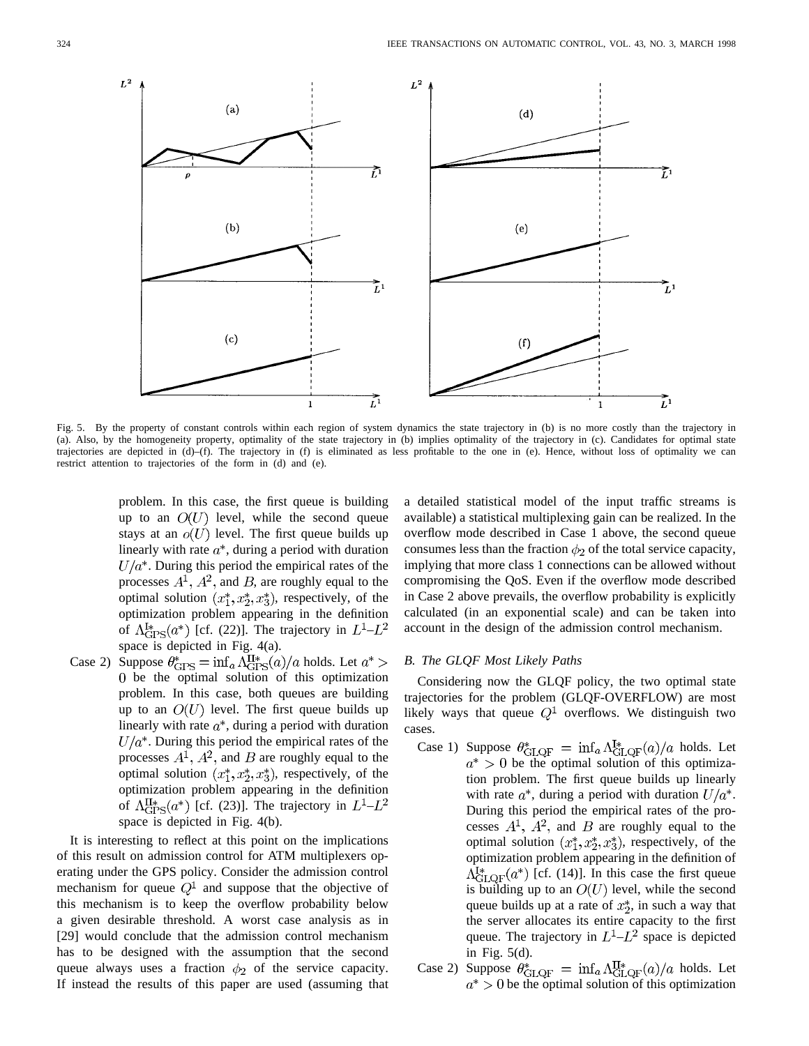

Fig. 5. By the property of constant controls within each region of system dynamics the state trajectory in (b) is no more costly than the trajectory in (a). Also, by the homogeneity property, optimality of the state trajectory in (b) implies optimality of the trajectory in (c). Candidates for optimal state trajectories are depicted in (d)–(f). The trajectory in (f) is eliminated as less profitable to the one in (e). Hence, without loss of optimality we can restrict attention to trajectories of the form in (d) and (e).

problem. In this case, the first queue is building up to an  $O(U)$  level, while the second queue stays at an  $o(U)$  level. The first queue builds up linearly with rate  $a^*$ , during a period with duration  $U/a^*$ . During this period the empirical rates of the processes  $A^1$ ,  $A^2$ , and B, are roughly equal to the optimal solution  $(x_1^*, x_2^*, x_3^*)$ , respectively, of the optimization problem appearing in the definition of  $\Lambda^{I*}_{\text{GPS}}(a^*)$  [cf. (22)]. The trajectory in  $L^1-L^2$ space is depicted in Fig. 4(a).

Case 2) Suppose  $\theta_{\text{GPS}}^* = \inf_a \Lambda_{\text{GPS}}^{\text{II}*}(a)/a$  holds. Let  $a^*$ be the optimal solution of this optimization problem. In this case, both queues are building up to an  $O(U)$  level. The first queue builds up linearly with rate  $a^*$ , during a period with duration  $U/a^*$ . During this period the empirical rates of the processes  $A^1$ ,  $A^2$ , and B are roughly equal to the optimal solution  $(x_1^*, x_2^*, x_3^*)$ , respectively, of the optimization problem appearing in the definition of  $\Lambda_{\text{GPS}}^{H*}(a^*)$  [cf. (23)]. The trajectory in  $L^1-L^2$ space is depicted in Fig. 4(b).

It is interesting to reflect at this point on the implications of this result on admission control for ATM multiplexers operating under the GPS policy. Consider the admission control mechanism for queue  $Q^1$  and suppose that the objective of this mechanism is to keep the overflow probability below a given desirable threshold. A worst case analysis as in [29] would conclude that the admission control mechanism has to be designed with the assumption that the second queue always uses a fraction  $\phi_2$  of the service capacity. If instead the results of this paper are used (assuming that a detailed statistical model of the input traffic streams is available) a statistical multiplexing gain can be realized. In the overflow mode described in Case 1 above, the second queue consumes less than the fraction  $\phi_2$  of the total service capacity, implying that more class 1 connections can be allowed without compromising the QoS. Even if the overflow mode described in Case 2 above prevails, the overflow probability is explicitly calculated (in an exponential scale) and can be taken into account in the design of the admission control mechanism.

# *B. The GLQF Most Likely Paths*

Considering now the GLQF policy, the two optimal state trajectories for the problem (GLQF-OVERFLOW) are most likely ways that queue  $Q^1$  overflows. We distinguish two cases.

- Case 1) Suppose  $\theta_{\text{GLQF}}^* = \inf_a \Lambda_{\text{GLQF}}^{\text{I*}}(a)/a$  holds. Let  $a^* > 0$  be the optimal solution of this optimization problem. The first queue builds up linearly with rate  $a^*$ , during a period with duration  $U/a^*$ . During this period the empirical rates of the processes  $A^1$ ,  $A^2$ , and B are roughly equal to the optimal solution  $(x_1^*, x_2^*, x_3^*)$ , respectively, of the optimization problem appearing in the definition of  $\Lambda_{\text{GLOF}}^{I*}(a^*)$  [cf. (14)]. In this case the first queue is building up to an  $O(U)$  level, while the second queue builds up at a rate of  $x_2^*$ , in such a way that the server allocates its entire capacity to the first queue. The trajectory in  $L^1-L^2$  space is depicted in Fig. 5(d).
- Case 2) Suppose  $\theta_{\text{GLQF}}^* = \inf_a \Lambda_{\text{GLQF}}^{\text{II}*}(a)/a$  holds. Let  $a^* > 0$  be the optimal solution of this optimization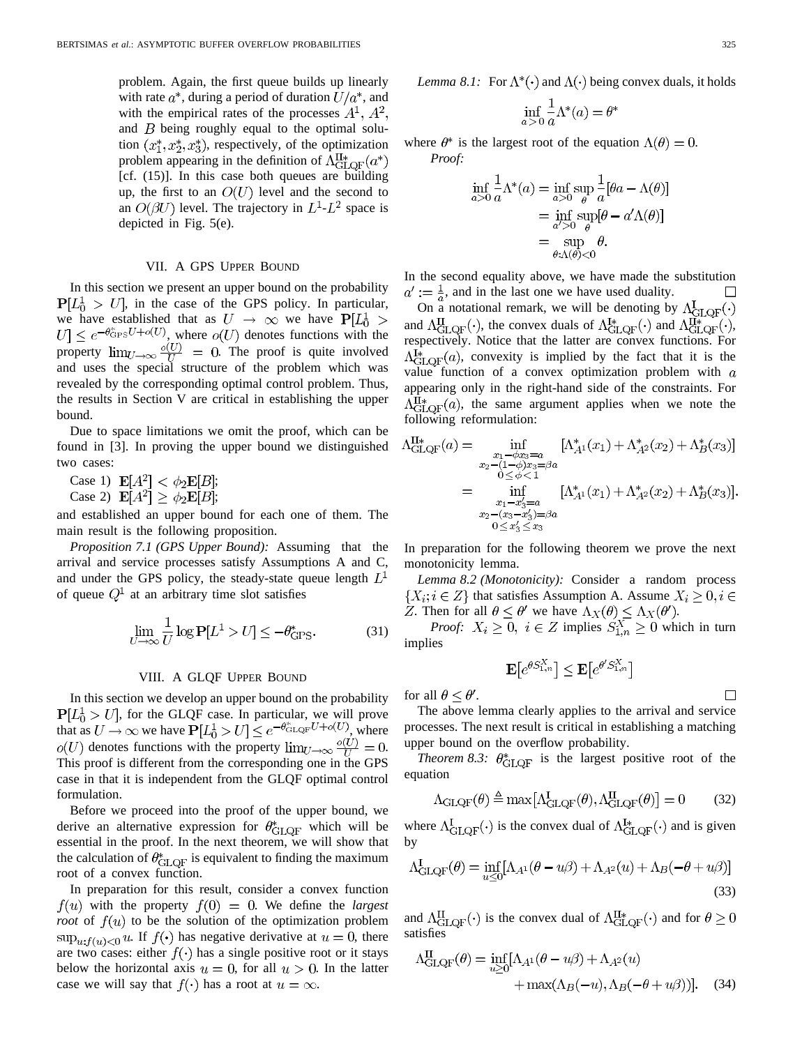problem. Again, the first queue builds up linearly with rate  $a^*$ , during a period of duration  $U/a^*$ , and with the empirical rates of the processes  $A^1$ ,  $A^2$ , and  $B$  being roughly equal to the optimal solution  $(x_1^*, x_2^*, x_3^*)$ , respectively, of the optimization problem appearing in the definition of  $\Lambda_{\text{GLOF}}^{\text{II}*}(a^*)$ [cf. (15)]. In this case both queues are building up, the first to an  $O(U)$  level and the second to an  $O(\beta U)$  level. The trajectory in  $L^1$ - $L^2$  space is depicted in Fig. 5(e).

## VII. A GPS UPPER BOUND

In this section we present an upper bound on the probability  $P[L_0^1 > U]$ , in the case of the GPS policy. In particular, we have established that as  $U \rightarrow \infty$  we have  $P[L_0^1]$ , where  $o(U)$  denotes functions with the property  $\lim_{U\to\infty} \frac{\partial(U)}{\partial U} = 0$ . The proof is quite involved and uses the special structure of the problem which was revealed by the corresponding optimal control problem. Thus, the results in Section V are critical in establishing the upper bound.

Due to space limitations we omit the proof, which can be found in [3]. In proving the upper bound we distinguished two cases:

Case 1)  $\mathbf{E}[A^2] < \phi_2 \mathbf{E}[B];$ 

Case 2)  $\mathbf{E}[A^2] \ge \phi_2 \mathbf{E}[B];$ 

and established an upper bound for each one of them. The main result is the following proposition.

*Proposition 7.1 (GPS Upper Bound):* Assuming that the arrival and service processes satisfy Assumptions A and C, and under the GPS policy, the steady-state queue length  $L<sup>1</sup>$ of queue  $Q^1$  at an arbitrary time slot satisfies

$$
\lim_{U \to \infty} \frac{1}{U} \log \mathbf{P}[L^1 > U] \le -\theta_{\text{GPS}}^*.
$$
 (31)

## VIII. A GLQF UPPER BOUND

In this section we develop an upper bound on the probability  $P[L_0^1 > U]$ , for the GLQF case. In particular, we will prove that as  $U \to \infty$  we have  $\tilde{P}[L_0^1 > U] \leq e^{-\theta_{\text{GLQF}}^2 U + o(U)},$  where  $o(U)$  denotes functions with the property  $\lim_{U\to\infty} \frac{o(U)}{U} = 0$ . This proof is different from the corresponding one in the GPS case in that it is independent from the GLQF optimal control formulation.

Before we proceed into the proof of the upper bound, we derive an alternative expression for  $\theta^*_{\text{GLQF}}$  which will be essential in the proof. In the next theorem, we will show that the calculation of  $\theta^*_{\text{GLOF}}$  is equivalent to finding the maximum root of a convex function.

In preparation for this result, consider a convex function  $f(u)$  with the property  $f(0) = 0$ . We define the *largest root* of  $f(u)$  to be the solution of the optimization problem  $\sup_{u: f(u) < 0} u$ . If  $f(\cdot)$  has negative derivative at  $u = 0$ , there are two cases: either  $f(\cdot)$  has a single positive root or it stays below the horizontal axis  $u = 0$ , for all  $u > 0$ . In the latter case we will say that  $f(\cdot)$  has a root at  $u = \infty$ .

$$
\inf_{a>0} \frac{1}{a} \Lambda^*(a) = \theta^*
$$

where  $\theta^*$  is the largest root of the equation  $\Lambda(\theta) = 0$ . *Proof:*

$$
\inf_{a>0} \frac{1}{a} \Lambda^*(a) = \inf_{a>0} \sup_{\theta} \frac{1}{a} [\theta a - \Lambda(\theta)]
$$

$$
= \inf_{a'>0} \sup_{\theta} [\theta - a'\Lambda(\theta)]
$$

$$
= \sup_{\theta : \Lambda(\theta) < 0} \theta.
$$

In the second equality above, we have made the substitution  $a' := \frac{1}{a}$ , and in the last one we have used duality.

On a notational remark, we will be denoting by  $\Lambda_{\text{GLQF}}^{I}(\cdot)$ and  $\Lambda_{\text{GLOF}}^{\text{II}}(\cdot)$ , the convex duals of  $\Lambda_{\text{GLOF}}^{\text{I}\ast}(\cdot)$  and  $\Lambda_{\text{GLOF}}^{\text{II}\ast}(\cdot)$ , respectively. Notice that the latter are convex functions. For  $\Lambda_{\text{GLOF}}^{I*}(a)$ , convexity is implied by the fact that it is the value function of a convex optimization problem with  $a$ appearing only in the right-hand side of the constraints. For  $\Lambda_{\text{GLOF}}^{\text{II}*}(a)$ , the same argument applies when we note the following reformulation:

$$
\Lambda_{\text{GLQF}}^{\text{H*}}(a) = \inf_{\substack{x_1 - \phi x_3 = a \\ 0 \le \phi < 1}} [\Lambda_{A1}^*(x_1) + \Lambda_{A2}^*(x_2) + \Lambda_B^*(x_3)]
$$
\n
$$
= \inf_{\substack{0 \le \phi < 1 \\ x_1 - x_3 = a}} [\Lambda_{A1}^*(x_1) + \Lambda_{A2}^*(x_2) + \Lambda_B^*(x_3)].
$$
\n
$$
= \inf_{\substack{x_1 - x_3 = a \\ x_2 - (x_3 - x_3') = \beta a}} [\Lambda_{A1}^*(x_1) + \Lambda_{A2}^*(x_2) + \Lambda_B^*(x_3)].
$$

In preparation for the following theorem we prove the next monotonicity lemma.

*Lemma 8.2 (Monotonicity):* Consider a random process  $\{X_i; i \in Z\}$  that satisfies Assumption A. Assume  $X_i \geq 0, i \in$ . Then for all  $\theta \leq \theta'$  we have  $\Lambda_X(\theta) \leq \Lambda_X(\theta')$ .

*Proof:*  $X_i \geq 0$ ,  $i \in \mathbb{Z}$  implies  $S_{1,n}^X \geq 0$  which in turn implies

$$
\mathbf{E}\big[e^{\theta S^X_{1,n}}\big]\leq \mathbf{E}\big[e^{\theta' S^X_{1,n}}\big]
$$

for all  $\theta \leq \theta'$ .

 $\overline{1}$ 

The above lemma clearly applies to the arrival and service processes. The next result is critical in establishing a matching upper bound on the overflow probability.

*Theorem 8.3:*  $\theta_{\text{GLOF}}^*$  is the largest positive root of the equation

$$
\Lambda_{\text{GLQF}}(\theta) \triangleq \max[\Lambda_{\text{GLQF}}^{I}(\theta), \Lambda_{\text{GLQF}}^{II}(\theta)] = 0 \tag{32}
$$

where  $\Lambda_{\text{GLQF}}^{I}(\cdot)$  is the convex dual of  $\Lambda_{\text{GLQF}}^{I*}(\cdot)$  and is given by

$$
\Lambda_{\text{GLQF}}^{I}(\theta) = \inf_{u \leq 0} [\Lambda_{A^1}(\theta - u\beta) + \Lambda_{A^2}(u) + \Lambda_B(-\theta + u\beta)]
$$
\n(33)

and  $\Lambda_{\text{GLQF}}^{II}(\cdot)$  is the convex dual of  $\Lambda_{\text{GLQF}}^{II*}(\cdot)$  and for  $\theta \ge 0$ satisfies

$$
\Lambda_{\text{GLQF}}^{\text{II}}(\theta) = \inf_{u \ge 0} [\Lambda_{A^1}(\theta - u\beta) + \Lambda_{A^2}(u) + \max(\Lambda_B(-u), \Lambda_B(-\theta + u\beta))]. \quad (34)
$$

 $\Box$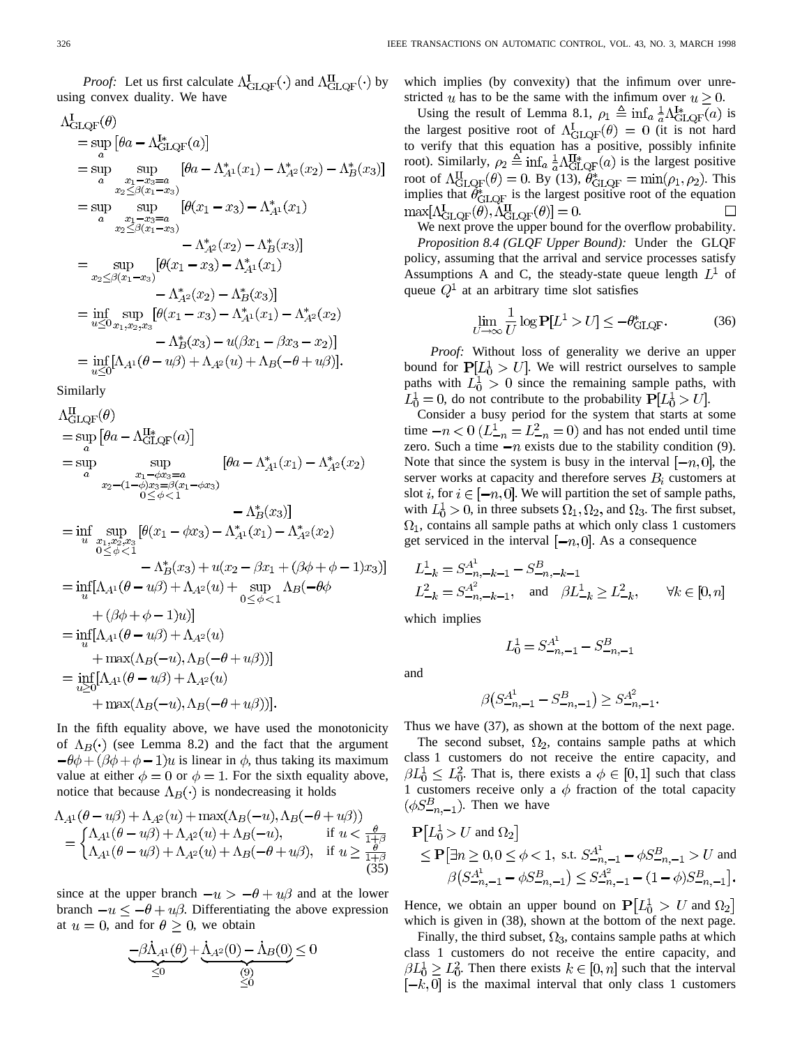$$
\Lambda_{\text{GLQF}}^{I}(\theta)
$$
\n
$$
= \sup_{a} [\theta a - \Lambda_{\text{GLQF}}^{I*}(a)]
$$
\n
$$
= \sup_{a} \sup_{x_{1}-x_{3}=a} [\theta a - \Lambda_{A1}^{*}(x_{1}) - \Lambda_{A2}^{*}(x_{2}) - \Lambda_{B}^{*}(x_{3})]
$$
\n
$$
= \sup_{x_{2} \leq \beta(x_{1}-x_{3})} [\theta(x_{1}-x_{3}) - \Lambda_{A1}^{*}(x_{1})
$$
\n
$$
= \sup_{x_{2} \leq \beta(x_{1}-x_{3})} [\theta(x_{1}-x_{3}) - \Lambda_{A1}^{*}(x_{1}) - \Lambda_{A2}^{*}(x_{2}) - \Lambda_{B}^{*}(x_{3})]
$$
\n
$$
= \sup_{x_{2} \leq \beta(x_{1}-x_{3})} [\theta(x_{1}-x_{3}) - \Lambda_{A1}^{*}(x_{1}) - \Lambda_{A2}^{*}(x_{2}) - \Lambda_{A1}^{*}(x_{1}) - \Lambda_{A2}^{*}(x_{2}) - \Lambda_{A1}^{*}(x_{1}) - \Lambda_{A2}^{*}(x_{2}) - \Lambda_{B}^{*}(x_{3})]
$$
\n
$$
= \inf_{u \leq 0} \sup_{x_{1}, x_{2}, x_{3}} [\theta(x_{1}-x_{3}) - \Lambda_{A1}^{*}(x_{1}) - \Lambda_{A2}^{*}(x_{2}) - \Lambda_{B}^{*}(x_{3}) - u(\beta x_{1} - \beta x_{3} - x_{2})]
$$
\n
$$
= \inf_{u \leq 0} [\Lambda_{A1}(\theta - u\beta) + \Lambda_{A2}(u) + \Lambda_{B}(-\theta + u\beta)].
$$

Similarly

$$
\Lambda_{GLQF}^{II}(\theta)
$$
\n
$$
= \sup_{a} [\theta a - \Lambda_{GLQF}^{II*}(a)]
$$
\n
$$
= \sup_{a} \sup_{x_1 - \phi x_3 = a \atop x_2 - (1 - \phi)x_3 = \beta(x_1 - \phi x_3)} [\theta a - \Lambda_{A1}^{*}(x_1) - \Lambda_{A2}^{*}(x_2)
$$
\n
$$
= \Lambda_{B}^{*}(x_3)]
$$
\n
$$
= \inf_{u} \sup_{x_1, x_2, x_3} [\theta(x_1 - \phi x_3) - \Lambda_{A1}^{*}(x_1) - \Lambda_{A2}^{*}(x_2)
$$
\n
$$
- \Lambda_{B}^{*}(x_3)]
$$
\n
$$
= \inf_{u} \left[ \Lambda_{A1}(\theta - u\beta) + \Lambda_{A2}(u) + \sup_{0 \le \phi < 1} \Lambda_{B}(-\theta \phi + (\beta + \phi - 1)x_3) \right]
$$
\n
$$
= \inf_{u} [\Lambda_{A1}(\theta - u\beta) + \Lambda_{A2}(u) + \sup_{0 \le \phi < 1} \Lambda_{B}(-\theta \phi + (\beta + \phi - 1)x_3)]
$$
\n
$$
= \inf_{u} [\Lambda_{A1}(\theta - u\beta) + \Lambda_{A2}(u)
$$
\n
$$
+ \max(\Lambda_{B}(-u), \Lambda_{B}(-\theta + u\beta))]
$$
\n
$$
= \inf_{u \ge 0} [\Lambda_{A1}(\theta - u\beta) + \Lambda_{A2}(u)
$$
\n
$$
+ \max(\Lambda_{B}(-u), \Lambda_{B}(-\theta + u\beta))].
$$

In the fifth equality above, we have used the monotonicity of  $\Lambda_B(\cdot)$  (see Lemma 8.2) and the fact that the argument  $-\theta\phi+(\beta\phi+\phi-1)u$  is linear in  $\phi$ , thus taking its maximum value at either  $\phi = 0$  or  $\phi = 1$ . For the sixth equality above, notice that because  $\Lambda_B(\cdot)$  is nondecreasing it holds

$$
\Lambda_{A^1}(\theta - u\beta) + \Lambda_{A^2}(u) + \max(\Lambda_B(-u), \Lambda_B(-\theta + u\beta))
$$
  
= 
$$
\begin{cases} \Lambda_{A^1}(\theta - u\beta) + \Lambda_{A^2}(u) + \Lambda_B(-u), & \text{if } u < \frac{\theta}{1 + \beta} \\ \Lambda_{A^1}(\theta - u\beta) + \Lambda_{A^2}(u) + \Lambda_B(-\theta + u\beta), & \text{if } u \ge \frac{\theta}{1 + \beta} \end{cases}
$$
(35)

since at the upper branch  $-u > -\theta + u\beta$  and at the lower branch  $-u \le -\theta + u\beta$ . Differentiating the above expression at  $u = 0$ , and for  $\theta \ge 0$ , we obtain

$$
-\beta \dot{\Lambda}_{A^1}(\theta) + \dot{\Lambda}_{A^2}(0) - \dot{\Lambda}_{B}(0) \leq 0
$$
  
 $\leq 0$   
 $\leq 0$ 

which implies (by convexity) that the infimum over unrestricted u has to be the same with the infimum over  $u > 0$ .

Using the result of Lemma 8.1,  $\rho_1 \triangleq \inf_{a} \frac{1}{2} \Lambda_{\text{GLOF}}^{1*}(a)$  is the largest positive root of  $\Lambda_{\text{GLOF}}^1(\theta) = 0$  (it is not hard to verify that this equation has a positive, possibly infinite root). Similarly,  $\rho_2 \triangleq \inf_a \frac{1}{a} \Lambda_{\text{GLQF}}^{\text{II}*}(a)$  is the largest positive root of  $\Lambda_{\text{GLOF}}^{11}(\theta) = 0$ . By (13),  $\theta_{\text{GLOF}}^* = \min(\rho_1, \rho_2)$ . This implies that  $\theta_{\text{GLOF}}^*$  is the largest positive root of the equation  $\max[\Lambda^I_{\text{GLQF}}(\theta), \widetilde{\Lambda}^{\text{II}}_{\text{GLQF}}(\theta)] = 0.$  $\Box$ 

We next prove the upper bound for the overflow probability. *Proposition 8.4 (GLQF Upper Bound):* Under the GLQF policy, assuming that the arrival and service processes satisfy Assumptions A and C, the steady-state queue length  $L^1$  of queue  $Q<sup>1</sup>$  at an arbitrary time slot satisfies

$$
\lim_{U \to \infty} \frac{1}{U} \log \mathbf{P}[L^1 > U] \le -\theta_{\text{GLQF}}^*.
$$
 (36)

*Proof:* Without loss of generality we derive an upper bound for  $P[L_0^1 > U]$ . We will restrict ourselves to sample paths with  $L_0^1 > 0$  since the remaining sample paths, with  $L_0^1 = 0$ , do not contribute to the probability  $P[L_0^1 > U]$ .

Consider a busy period for the system that starts at some time  $-n < 0$  ( $L_{-n}^1 = L_{-n}^2 = 0$ ) and has not ended until time zero. Such a time  $-n$  exists due to the stability condition (9). Note that since the system is busy in the interval  $[-n, 0]$ , the server works at capacity and therefore serves  $B_i$  customers at slot *i*, for  $i \in [-n, 0]$ . We will partition the set of sample paths, with  $L_0^1 > 0$ , in three subsets  $\Omega_1, \Omega_2$ , and  $\Omega_3$ . The first subset,  $\Omega_1$ , contains all sample paths at which only class 1 customers get serviced in the interval  $[-n, 0]$ . As a consequence

$$
L_{-k}^{1} = S_{-n,-k-1}^{A^{1}} - S_{-n,-k-1}^{B}
$$
  
\n
$$
L_{-k}^{2} = S_{-n,-k-1}^{A^{2}}, \text{ and } \beta L_{-k}^{1} \ge L_{-k}^{2}, \forall k \in [0, n]
$$

which implies

τ

and

$$
\beta\big(S_{-n,-1}^{A^1}-S_{-n,-1}^B\big)\geq S_{-n,-1}^{A^2}
$$

 $L_0^1 = S_{-n,-1}^{A^1} - S_{-n,-1}^B$ 

Thus we have (37), as shown at the bottom of the next page.

The second subset,  $\Omega_2$ , contains sample paths at which class 1 customers do not receive the entire capacity, and  $\beta L_0^1 \leq L_0^2$ . That is, there exists a  $\phi \in [0,1]$  such that class 1 customers receive only a  $\phi$  fraction of the total capacity  $(\phi S_{-n,-1}^B)$ . Then we have

$$
\mathbf{P}[L_0^1 > U \text{ and } \Omega_2] \le \mathbf{P}[\exists n \ge 0, 0 \le \phi < 1, \text{ s.t. } S_{-n,-1}^{A^1} - \phi S_{-n,-1}^B > U \text{ and}
$$
  

$$
\beta \left( S_{-n,-1}^{A^1} - \phi S_{-n,-1}^B \right) \le S_{-n,-1}^{A^2} - (1 - \phi) S_{-n,-1}^B].
$$

Hence, we obtain an upper bound on  $P[L_0^1 > U \text{ and } \Omega_2]$ which is given in (38), shown at the bottom of the next page.

Finally, the third subset,  $\Omega_3$ , contains sample paths at which class 1 customers do not receive the entire capacity, and  $\beta L_0^1 \geq L_0^2$ . Then there exists  $k \in [0, n]$  such that the interval  $[-k, 0]$  is the maximal interval that only class 1 customers

 $\mathbf{r}$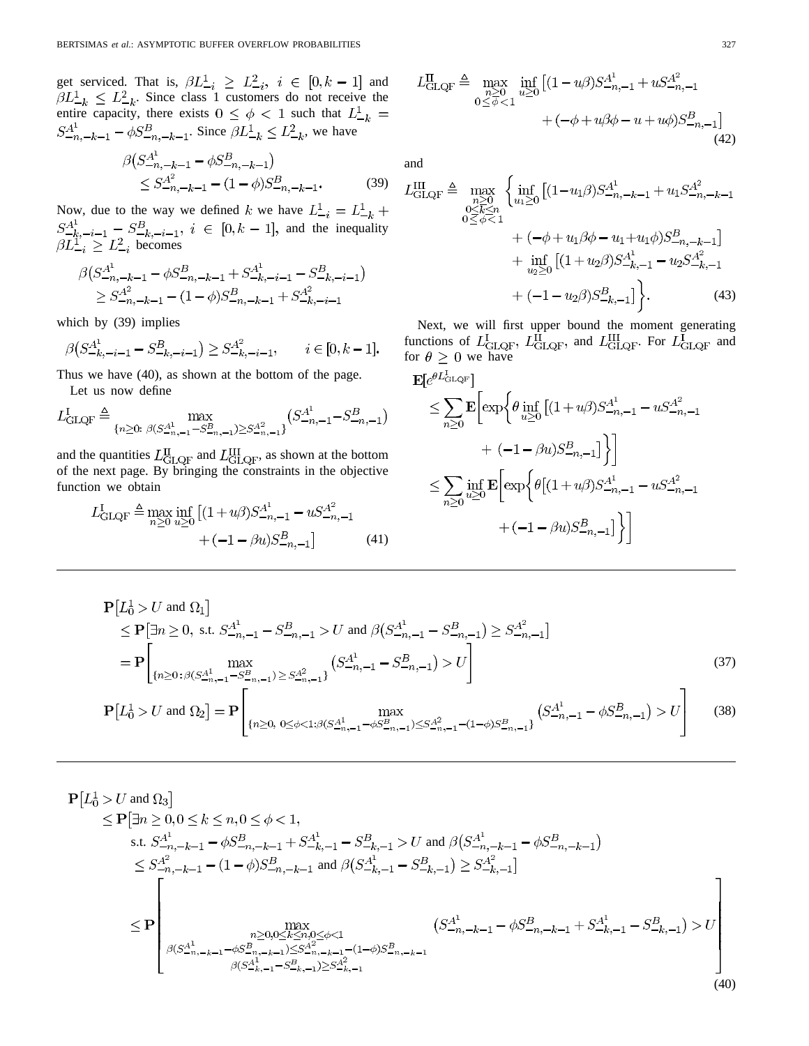get serviced. That is,  $\beta L_{-i}^1 \geq L_{-i}^2$ ,  $i \in [0, k-1]$  and . Since class 1 customers do not receive the entire capacity, there exists  $0 \leq \phi < 1$  such that . Since  $\beta L_{-k}^{\perp} \leq L_{-k}^{\perp}$ , we have

$$
\beta \left( S_{-n,-k-1}^{A^{1}} - \phi S_{-n,-k-1}^{B} \right) \n\leq S_{-n,-k-1}^{A^{2}} - (1 - \phi) S_{-n,-k-1}^{B},
$$
\n(39)

Now, due to the way we defined k we have  $L_{-i}^1 = L_{-k}^1 +$ and the inequality becomes

$$
\beta \left( S_{-n,-k-1}^{A^1} - \phi S_{-n,-k-1}^B + S_{-k,-i-1}^{A^1} - S_{-k,-i-1}^B \right) \n\geq S_{-n,-k-1}^{A^2} - (1 - \phi) S_{-n,-k-1}^B + S_{-k,-i-1}^{A^2}
$$

which by (39) implies

e in

$$
\beta \left( S_{-k, -i-1}^{A^1} - S_{-k, -i-1}^B \right) \ge S_{-k, -i-1}^{A^2}, \qquad i \in [0, k-1].
$$

Thus we have (40), as shown at the bottom of the page. Let us now define

$$
L_{\text{GLQF}}^{\text{I}} \triangleq \max_{\{n \ge 0: \ \beta(S_{-n,-1}^{A^1} - S_{-n,-1}^B) \ge S_{-n,-1}^{A^2}\}} \left(S_{-n,-1}^{A^1} - S_{-n,-1}^B\right)
$$

and the quantities  $L_{\text{GLOF}}^{\text{II}}$  and  $L_{\text{GLOF}}^{\text{III}}$ , as shown at the bottom of the next page. By bringing the constraints in the objective function we obtain

$$
L_{\text{GLQF}}^{\text{I}} \triangleq \max_{n\geq 0} \inf_{u\geq 0} \left[ (1+u\beta) S_{-n,-1}^{A^1} - u S_{-n,-1}^{A^2} \right] + (-1-\beta u) S_{-n,-1}^B \tag{41}
$$

$$
L_{\text{GLQF}}^{\text{II}} \triangleq \max_{\substack{n \geq 0 \\ 0 \leq \phi < 1}} \inf_{u \geq 0} \left[ (1 - u\beta) S_{-n, -1}^{A^1} + u S_{-n, -1}^{A^2} \right] + (-\phi + u\beta\phi - u + u\phi) S_{-n, -1}^B \right]
$$
\n
$$
+ (-\phi + u\beta\phi - u + u\phi) S_{-n, -1}^B \tag{42}
$$

and

$$
L_{\text{GLQF}}^{\text{III}} \triangleq \max_{\substack{n \geq 0 \\ 0 \leq k \leq n}} \left\{ \inf_{u_1 \geq 0} \left[ (1 - u_1 \beta) S_{-n, -k-1}^{\mathcal{A}^1} + u_1 S_{-n, -k-1}^{\mathcal{A}^2} \right] \right. \\ \left. + \left( -\phi + u_1 \beta \phi - u_1 + u_1 \phi \right) S_{-n, -k-1}^{\mathcal{B}} \right] \\ \left. + \inf_{u_2 \geq 0} \left[ (1 + u_2 \beta) S_{-k, -1}^{\mathcal{A}^1} - u_2 S_{-k, -1}^{\mathcal{A}^2} \right] \right. \\ \left. + \left( -1 - u_2 \beta \right) S_{-k, -1}^{\mathcal{B}} \right] \right\} . \tag{43}
$$

Next, we will first upper bound the moment generating functions of  $L_{\text{GLOF}}^1$ ,  $L_{\text{GLOF}}^{\text{II}}$  and  $L_{\text{GLOF}}^{\text{III}}$ . For  $L_{\text{GLOF}}^1$  and for  $\theta \geq 0$  we have

$$
\begin{split} & \mathbf{E}[e^{\theta L_{\text{GLQF}}}] \\ & \leq \sum_{n\geq 0} \mathbf{E}\bigg[\exp\bigg\{\theta \inf_{u\geq 0} \left[(1+u\beta)S_{-n,-1}^{A^1} - uS_{-n,-1}^{A^2} \right. \\ & \qquad \qquad + \left. (-1-\beta u)S_{-n,-1}^B \right] \bigg\} \bigg] \\ & \leq \sum_{n\geq 0} \inf_{u\geq 0} \mathbf{E}\bigg[\exp\bigg\{\theta\big[(1+u\beta)S_{-n,-1}^{A^1} - uS_{-n,-1}^{A^2} \big] \bigg\} \bigg] \\ & \qquad \qquad + \left. (-1-\beta u)S_{-n,-1}^B \right] \bigg\} \bigg] \end{split}
$$

$$
\mathbf{P}[L_0^1 > U \text{ and } \Omega_1] \le \mathbf{P}[\exists n \ge 0, \text{ s.t. } S_{-n,-1}^{A^1} - S_{-n,-1}^B > U \text{ and } \beta(S_{-n,-1}^{A^1} - S_{-n,-1}^B) \ge S_{-n,-1}^{A^2}]
$$
\n
$$
= \mathbf{P}\left[\max_{\{n \ge 0 : \beta(S_{-n,-1}^{A^1} - S_{-n,-1}^B) \ge S_{-n,-1}^{A^2}\}} (S_{-n,-1}^{A^1} - S_{-n,-1}^B) > U\right]
$$
\n
$$
\mathbf{P}[L_0^1 > U \text{ and } \Omega_2] = \mathbf{P}\left[\max_{\{n \ge 0, 0 \le \phi < 1 : \beta(S_{-n,-1}^{A^1} - \phi S_{-n,-1}^B) \le S_{-n,-1}^{A^2} - (1-\phi)S_{-n,-1}^B}\right] (S_{-n,-1}^{A^1} - \phi S_{-n,-1}^B) > U\right] \tag{38}
$$

$$
\mathbf{P}[L_{0}^{1} > U \text{ and } \Omega_{3}]
$$
\n
$$
\leq \mathbf{P}[\exists n \geq 0, 0 \leq k \leq n, 0 \leq \phi < 1,
$$
\n
$$
\text{s.t. } S_{-n,-k-1}^{A^{1}} - \phi S_{-n,-k-1}^{B^{1}} + S_{-k,-1}^{A^{1}} - S_{-k,-1}^{B^{1}} > U \text{ and } \beta (S_{-n,-k-1}^{A^{1}} - \phi S_{-n,-k-1}^{B^{1}})
$$
\n
$$
\leq S_{-n,-k-1}^{A^{2}} - (1 - \phi) S_{-n,-k-1}^{B^{1}} \text{ and } \beta (S_{-k,-1}^{A^{1}} - S_{-k,-1}^{B^{1}}) \geq S_{-k,-1}^{A^{2}}]
$$
\n
$$
\leq \mathbf{P} \left[ \max_{\substack{n \geq 0, 0 \leq k \leq n, 0 \leq \phi < 1 \\ n \geq 0, 0 \leq k \leq n, 0 \leq \phi < 1 \\ \beta (S_{-n,-k-1}^{A^{1}} - \phi S_{-n,-k-1}^{B^{1}} + S_{-k,-1}^{A^{1}} - S_{-k,-1}^{B^{1}}) > U \right]
$$
\n
$$
\beta (S_{-n,-k-1}^{A^{1}} - S_{-k,-1}^{B^{1}}) \geq S_{-n,-k-1}^{A^{2}} - S_{-k,-1}^{A^{2}})
$$
\n
$$
\beta (S_{-n,-k-1}^{A^{1}} - S_{-k,-1}^{B^{2}}) \geq S_{-k,-1}^{A^{2}} \tag{40}
$$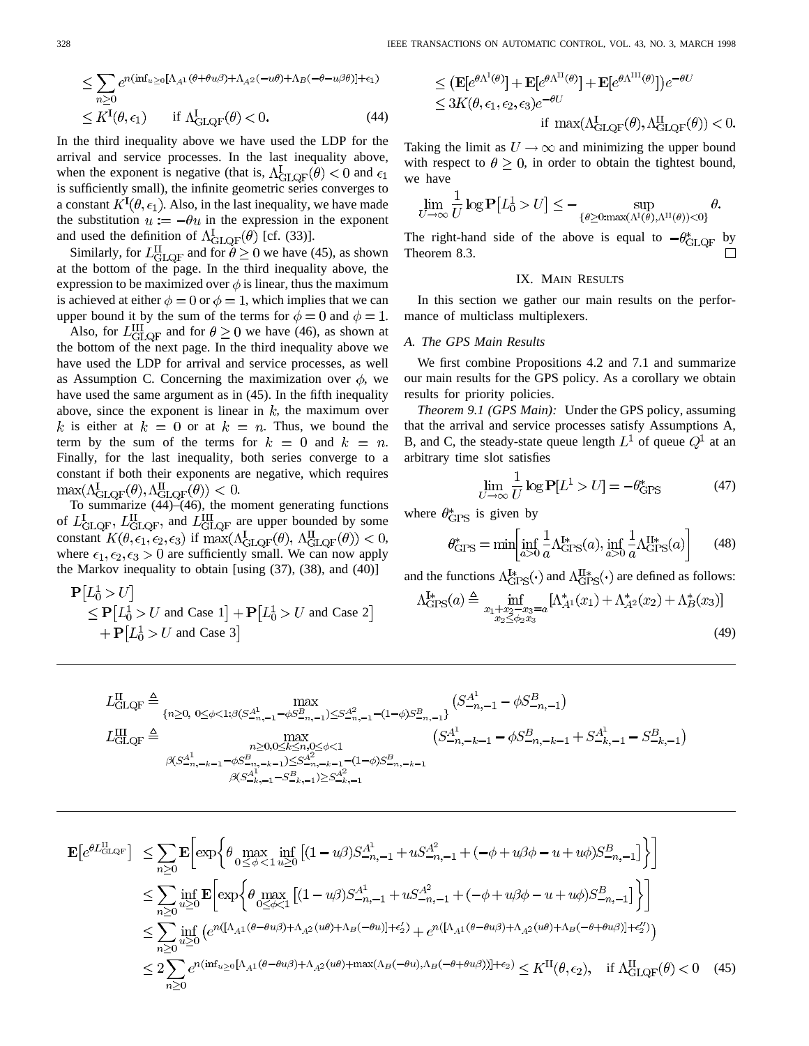$$
\leq \sum_{n\geq 0} e^{n(\inf_{u\geq 0} [\Lambda_{A^1}(\theta + \theta u \beta) + \Lambda_{A^2}(-u\theta) + \Lambda_B(-\theta - u\beta\theta)] + \epsilon_1)}
$$
  

$$
\leq K^{\mathcal{I}}(\theta, \epsilon_1) \quad \text{if } \Lambda^{\mathcal{I}}_{\text{GLQF}}(\theta) < 0. \tag{44}
$$

In the third inequality above we have used the LDP for the arrival and service processes. In the last inequality above, when the exponent is negative (that is,  $\Lambda_{\text{GLOF}}^{\text{I}}(\theta) < 0$  and  $\epsilon_1$ ) is sufficiently small), the infinite geometric series converges to a constant  $K^I(\theta, \epsilon_1)$ . Also, in the last inequality, we have made the substitution  $u := -\theta u$  in the expression in the exponent and used the definition of  $\Lambda_{\text{GLQF}}^{I}(\theta)$  [cf. (33)].

Similarly, for  $L_{\text{GLOF}}^{\text{II}}$  and for  $\theta \ge 0$  we have (45), as shown at the bottom of the page. In the third inequality above, the expression to be maximized over  $\phi$  is linear, thus the maximum is achieved at either  $\phi = 0$  or  $\phi = 1$ , which implies that we can upper bound it by the sum of the terms for  $\phi = 0$  and  $\phi = 1$ .

Also, for  $L_{\text{GLOF}}^{\text{III}}$  and for  $\theta \geq 0$  we have (46), as shown at the bottom of the next page. In the third inequality above we have used the LDP for arrival and service processes, as well as Assumption C. Concerning the maximization over  $\phi$ , we have used the same argument as in (45). In the fifth inequality above, since the exponent is linear in  $k$ , the maximum over k is either at  $k = 0$  or at  $k = n$ . Thus, we bound the term by the sum of the terms for  $k = 0$  and  $k = n$ . Finally, for the last inequality, both series converge to a constant if both their exponents are negative, which requires .

To summarize (44)–(46), the moment generating functions of  $L_{\text{GLQF}}^{\text{I}}$ ,  $L_{\text{GLQF}}^{\text{II}}$  and  $L_{\text{GLQF}}^{\text{III}}$  are upper bounded by some constant  $K(\theta, \epsilon_1, \epsilon_2, \epsilon_3)$  if  $\max(\Lambda_{\text{GLQF}}^{\text{I}}(\theta), \Lambda_{\text{GLQF}}^{\text{II}}(\theta)) < 0$ , where  $\epsilon_1, \epsilon_2, \epsilon_3 > 0$  are sufficiently small. We can now apply the Markov inequality to obtain [using (37), (38), and (40)]

$$
\begin{aligned} \mathbf{P}[L_0^1 > U] \\ &\le \mathbf{P}[L_0^1 > U \text{ and Case 1}] + \mathbf{P}[L_0^1 > U \text{ and Case 2}] \\ &+ \mathbf{P}[L_0^1 > U \text{ and Case 3}] \end{aligned}
$$

$$
\leq (\mathbf{E}[e^{\theta \Lambda^{I}(\theta)}] + \mathbf{E}[e^{\theta \Lambda^{II}(\theta)}] + \mathbf{E}[e^{\theta \Lambda^{III}(\theta)}])e^{-\theta U}
$$
  
\n
$$
\leq 3K(\theta, \epsilon_1, \epsilon_2, \epsilon_3)e^{-\theta U}
$$
  
\nif  $\max(\Lambda_{\text{GLOF}}(\theta), \Lambda_{\text{GLOF}}^{\text{II}}(\theta)) < 0$ .

Taking the limit as  $U \rightarrow \infty$  and minimizing the upper bound with respect to  $\theta \geq 0$ , in order to obtain the tightest bound, we have

$$
\lim_{U \to \infty} \frac{1}{U} \log \mathbf{P}[L_0^1 > U] \leq - \sup_{\{\theta \geq 0 : \max(\Lambda^1(\theta), \Lambda^{\Pi}(\theta)) < 0\}} \theta.
$$

The right-hand side of the above is equal to  $-\theta^*_{\text{GLQF}}$  by Theorem 8.3.

#### IX. MAIN RESULTS

In this section we gather our main results on the performance of multiclass multiplexers.

## *A. The GPS Main Results*

We first combine Propositions 4.2 and 7.1 and summarize our main results for the GPS policy. As a corollary we obtain results for priority policies.

*Theorem 9.1 (GPS Main):* Under the GPS policy, assuming that the arrival and service processes satisfy Assumptions A, B, and C, the steady-state queue length  $L^1$  of queue  $Q^1$  at an arbitrary time slot satisfies

$$
\lim_{U \to \infty} \frac{1}{U} \log \mathbf{P}[L^1 > U] = -\theta_{\text{GPS}}^* \tag{47}
$$

where  $\theta_{\text{GPS}}^*$  is given by

$$
\theta_{\rm GPS}^* = \min \left[ \inf_{a>0} \frac{1}{a} \Lambda_{\rm GPS}^{\rm I*}(a), \inf_{a>0} \frac{1}{a} \Lambda_{\rm GPS}^{\rm II*}(a) \right]
$$
(48)

and the functions  $\Lambda_{\text{GPS}}^{I*}(\cdot)$  and  $\Lambda_{\text{GPS}}^{II*}(\cdot)$  are defined as follows:

$$
\Lambda_{\text{GPS}}^{1*}(a) \triangleq \inf_{\substack{x_1 + x_2 - x_3 = a \\ x_2 \le \phi_2 x_3}} [\Lambda_{A^1}^*(x_1) + \Lambda_{A^2}^*(x_2) + \Lambda_B^*(x_3)] \tag{49}
$$

$$
L_{\text{GLQF}}^{\text{II}} \triangleq \max_{\substack{\{n \geq 0, \ 0 \leq \phi < 1: \beta(S_{-n,-1}^{A^1} - \phi S_{-n,-1}^B) \leq S_{-n,-1}^{A^2} - (1-\phi)S_{-n,-1}^B\} \\ L_{\text{GLQF}}^{\text{III}} \triangleq \max_{\substack{n \geq 0, 0 \leq k \leq n, 0 \leq \phi < 1 \\ \beta(S_{-n,-k-1}^{A^1} - \phi S_{-n,-k-1}^B) \leq S_{-n,-k-1}^{A^2} - (1-\phi)S_{-n,-k-1}^B}} \left( S_{-n,-k-1}^{A^1} - \phi S_{-n,-k-1}^B + S_{-k,-1}^{A^1} - S_{-k,-1}^B \right)
$$
\n
$$
\max_{\substack{\beta(S_{-n,-k-1}^{A^1} - \phi S_{-n,-k-1}^B) \leq S_{-n,-k-1}^{A^2} - (1-\phi)S_{-n,-k-1}^B \\ \beta(S_{-k,-1}^{A^1} - S_{-k,-1}^B) \geq S_{-k,-1}^{A^2}}} \left( S_{-n,-k-1}^{A^1} - \phi S_{-n,-k-1}^B + S_{-k,-1}^{A^1} - S_{-k,-1}^B \right)
$$

$$
\mathbf{E}\left[e^{\theta L_{\text{GLQF}}^{\text{II}}}\right] \leq \sum_{n\geq 0} \mathbf{E}\left[\exp\left\{\theta \max_{0\leq\phi<1}\inf_{u\geq 0}\left[(1-u\beta)S_{-n,-1}^{A^1} + uS_{-n,-1}^{A^2} + (-\phi+u\beta\phi-u+u\phi)S_{-n,-1}^B\right]\right\}\right]
$$
\n
$$
\leq \sum_{n\geq 0} \inf_{u\geq 0} \mathbf{E}\left[\exp\left\{\theta \max_{0\leq\phi<1}\left[(1-u\beta)S_{-n,-1}^{A^1} + uS_{-n,-1}^{A^2} + (-\phi+u\beta\phi-u+u\phi)S_{-n,-1}^B\right]\right\}\right]
$$
\n
$$
\leq \sum_{n\geq 0} \inf_{u\geq 0} \left(e^{n\left([\Lambda_{A^1}(\theta-\theta u\beta)+\Lambda_{A^2}(u\theta)+\Lambda_B(-\theta u)\right]+\epsilon_2'} + e^{n\left([\Lambda_{A^1}(\theta-\theta u\beta)+\Lambda_{A^2}(u\theta)+\Lambda_B(-\theta+\theta u\beta)\right]+\epsilon_2''\right)}\right)
$$
\n
$$
\leq 2\sum_{n\geq 0} e^{n\left(\inf_{u\geq 0}[\Lambda_{A^1}(\theta-\theta u\beta)+\Lambda_{A^2}(u\theta)+\max(\Lambda_B(-\theta u),\Lambda_B(-\theta+\theta u\beta))]+\epsilon_2\right)} \leq K^{\text{II}}(\theta,\epsilon_2), \quad \text{if } \Lambda_{\text{GLQF}}^{\text{II}}(\theta) < 0 \quad (45)
$$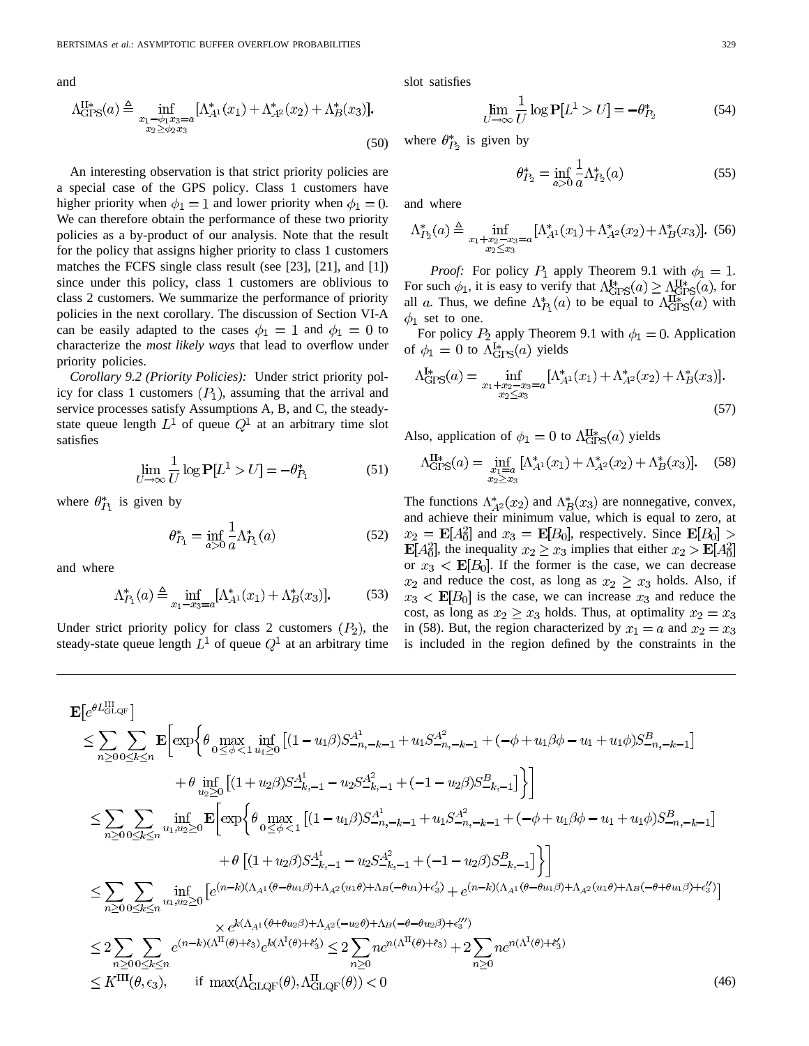and

 $\overline{1}$ 

$$
\Lambda_{\text{GPS}}^{\text{II}*}(a) \triangleq \inf_{\substack{x_1 - \phi_1 x_3 = a \\ x_2 \ge \phi_2 x_3}} [\Lambda_{A^1}^*(x_1) + \Lambda_{A^2}^*(x_2) + \Lambda_B^*(x_3)].
$$
\n(50)

An interesting observation is that strict priority policies are a special case of the GPS policy. Class 1 customers have higher priority when  $\phi_1 = 1$  and lower priority when  $\phi_1 = 0$ . We can therefore obtain the performance of these two priority policies as a by-product of our analysis. Note that the result for the policy that assigns higher priority to class 1 customers matches the FCFS single class result (see [23], [21], and [1]) since under this policy, class 1 customers are oblivious to class 2 customers. We summarize the performance of priority policies in the next corollary. The discussion of Section VI-A can be easily adapted to the cases  $\phi_1 = 1$  and  $\phi_1 = 0$  to characterize the *most likely ways* that lead to overflow under priority policies.

*Corollary 9.2 (Priority Policies):* Under strict priority policy for class 1 customers  $(P_1)$ , assuming that the arrival and service processes satisfy Assumptions A, B, and C, the steadystate queue length  $L^1$  of queue  $Q^1$  at an arbitrary time slot satisfies

$$
\lim_{U \to \infty} \frac{1}{U} \log \mathbf{P}[L^1 > U] = -\theta_{P_1}^*
$$
\n(51)

where  $\theta_{P_1}^*$  is given by

$$
\theta_{P_1}^* = \inf_{a>0} \frac{1}{a} \Lambda_{P_1}^*(a)
$$
 (52)

and where

$$
\Lambda_{P_1}^*(a) \triangleq \inf_{x_1 - x_3 = a} [\Lambda_{A^1}^*(x_1) + \Lambda_B^*(x_3)].
$$
 (53)

Under strict priority policy for class 2 customers  $(P_2)$ , the steady-state queue length  $L^1$  of queue  $Q^1$  at an arbitrary time slot satisfies

$$
\lim_{U \to \infty} \frac{1}{U} \log \mathbf{P}[L^1 > U] = -\theta_{P_2}^*
$$
\n(54)

where  $\theta_{P_2}^*$  is given by

$$
\theta_{P_2}^* = \inf_{a>0} \frac{1}{a} \Lambda_{P_2}^*(a) \tag{55}
$$

and where

$$
\Lambda_{P_2}^*(a) \triangleq \inf_{\substack{x_1 + x_2 - x_3 = a \\ x_2 \le x_3}} [\Lambda_{A^1}^*(x_1) + \Lambda_{A^2}^*(x_2) + \Lambda_B^*(x_3)]. \tag{56}
$$

*Proof:* For policy  $P_1$  apply Theorem 9.1 with  $\phi_1 = 1$ . For such  $\phi_1$ , it is easy to verify that  $\Lambda_{\text{GPS}}^{1*}(a) \geq \Lambda_{\text{GPS}}^{1*}(a)$ , for all a. Thus, we define  $\Lambda_{P_1}^*(a)$  to be equal to  $\Lambda_{\text{GPS}}^{H*}(a)$  with  $\phi_1$  set to one.

For policy  $P_2$  apply Theorem 9.1 with  $\phi_1 = 0$ . Application of  $\phi_1 = 0$  to  $\Lambda_{\text{GPS}}^{I*}(a)$  yields

$$
\Lambda_{\text{GPS}}^{1*}(a) = \inf_{\substack{x_1 + x_2 - x_3 = a \\ x_2 \le x_3}} [\Lambda_{A^1}^*(x_1) + \Lambda_{A^2}^*(x_2) + \Lambda_B^*(x_3)].
$$
\n(57)

Also, application of  $\phi_1 = 0$  to  $\Lambda_{\text{GPS}}^{\text{II}*}(a)$  yields

$$
\Lambda_{\text{GPS}}^{\text{II}*}(a) = \inf_{\substack{x_1 = a \\ x_2 \ge x_3}} [\Lambda_{A^1}^*(x_1) + \Lambda_{A^2}^*(x_2) + \Lambda_B^*(x_3)]. \tag{58}
$$

The functions  $\Lambda_{A^2}^*(x_2)$  and  $\Lambda_B^*(x_3)$  are nonnegative, convex, and achieve their minimum value, which is equal to zero, at  $x_2 = \mathbf{E}[A_0^2]$  and  $x_3 = \mathbf{E}[B_0]$ , respectively. Since  $\mathbf{E}[B_0] >$  $\mathbf{E}[A_0^2]$ , the inequality  $x_2 \geq x_3$  implies that either  $x_2 > \mathbf{E}[A_0^2]$ or  $x_3 < \mathbf{E}[B_0]$ . If the former is the case, we can decrease  $x_2$  and reduce the cost, as long as  $x_2 \ge x_3$  holds. Also, if  $x_3$  <  $\mathbf{E}[B_0]$  is the case, we can increase  $x_3$  and reduce the cost, as long as  $x_2 \ge x_3$  holds. Thus, at optimality  $x_2 = x_3$ in (58). But, the region characterized by  $x_1 = a$  and  $x_2 = x_3$ is included in the region defined by the constraints in the

$$
\mathbf{E}\left[e^{\theta L_{\text{GLQF}}^{\text{III}}}\right] \leq \sum_{n\geq 0} \sum_{0\leq k\leq n} \mathbf{E}\left[\exp\left\{\theta \max_{0\leq\phi<1} \inf_{u_1\geq 0} \left[(1-u_1\beta)S_{-n,-k-1}^{A^1} + u_1S_{-n,-k-1}^{A^2} + (-\phi+u_1\beta\phi-u_1+u_1\phi)S_{-n,-k-1}^{B}\right]\right] \right.
$$
\n
$$
+ \theta \inf_{u_2\geq 0} \left[(1+u_2\beta)S_{-k,-1}^{A^1} - u_2S_{-k,-1}^{A^2} + (-1-u_2\beta)S_{-k,-1}^{B}\right]\right]
$$
\n
$$
\leq \sum_{n\geq 0} \sum_{0\leq k\leq n} \inf_{u_1,u_2\geq 0} \mathbf{E}\left[\exp\left\{\theta \max_{0\leq\phi<1} \left[(1-u_1\beta)S_{-n,-k-1}^{A^1} + u_1S_{-n,-k-1}^{A^2} + (-\phi+u_1\beta\phi-u_1+u_1\phi)S_{-n,-k-1}^{B}\right]\right]
$$
\n
$$
+ \theta\left[(1+u_2\beta)S_{-k,-1}^{A^1} - u_2S_{-k,-1}^{A^2} + (-1-u_2\beta)S_{-k,-1}^{B}\right]\right]
$$
\n
$$
\leq \sum_{n\geq 0} \sum_{0\leq k\leq n} \inf_{u_1,u_2\geq 0} \left[e^{(n-k)(\Lambda_{A^1}(\theta-\theta u_1\beta)+\Lambda_{A^2}(u_1\theta)+\Lambda_{B}(-\theta u_1)+\epsilon_3')} + e^{(n-k)(\Lambda_{A^1}(\theta-\theta u_1\beta)+\Lambda_{A^2}(u_1\theta)+\Lambda_{B}(-\theta+\theta u_1\beta)+\epsilon_3'')}\right]
$$
\n
$$
\leq 2 \sum_{n\geq 0} \sum_{0\leq k\leq n} e^{(n-k)(\Lambda_1^{III}(\theta)+\epsilon_3)}e^{k(\Lambda_2^{III}(\theta)+\epsilon_3')} \leq 2 \sum_{n\geq 0} n e^{n(\Lambda^{II}(\theta
$$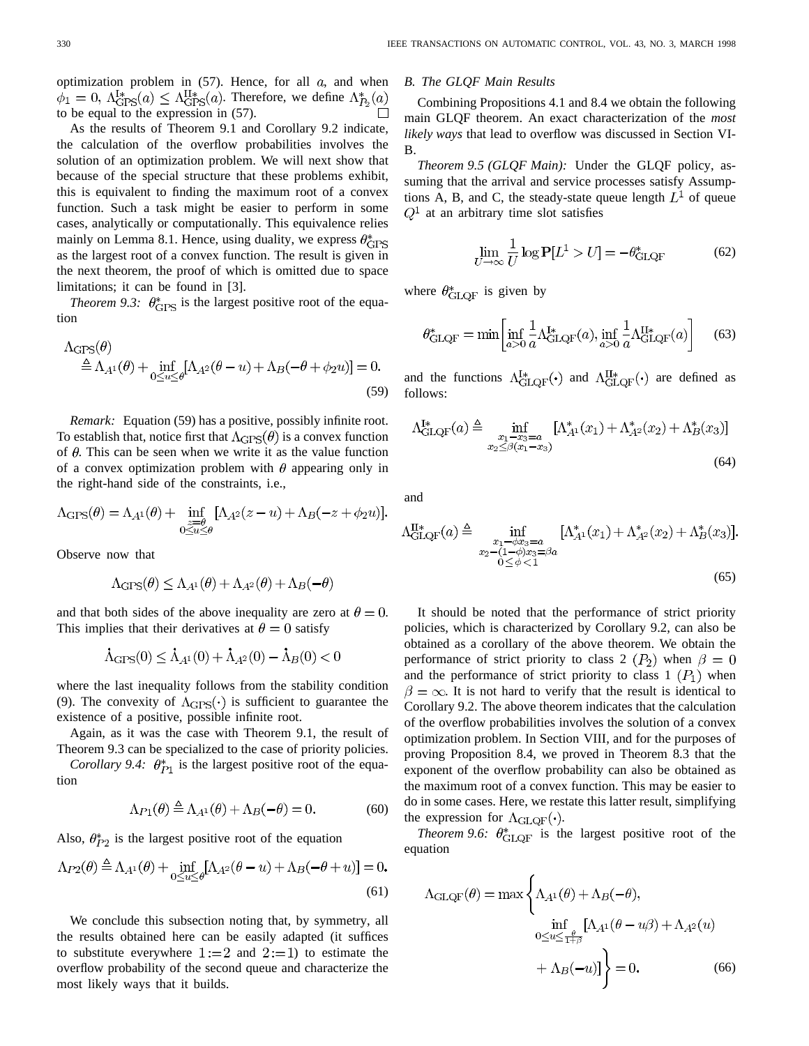optimization problem in  $(57)$ . Hence, for all  $a$ , and when  $\phi_1 = 0$ ,  $\Lambda_{\text{GPS}}^{I*}(a) \leq \Lambda_{\text{GPS}}^{II*}(a)$ . Therefore, we define  $\Lambda_{P_2}^*(a)$ to be equal to the expression in (57).

As the results of Theorem 9.1 and Corollary 9.2 indicate, the calculation of the overflow probabilities involves the solution of an optimization problem. We will next show that because of the special structure that these problems exhibit, this is equivalent to finding the maximum root of a convex function. Such a task might be easier to perform in some cases, analytically or computationally. This equivalence relies mainly on Lemma 8.1. Hence, using duality, we express  $\theta_{\text{GPS}}^*$ as the largest root of a convex function. The result is given in the next theorem, the proof of which is omitted due to space limitations; it can be found in [3].

*Theorem 9.3:*  $\theta_{\text{GPS}}^*$  is the largest positive root of the equation

$$
\Delta_{\text{GPS}}(\theta) \triangleq \Lambda_{A^1}(\theta) + \inf_{0 \le u \le \theta} [\Lambda_{A^2}(\theta - u) + \Lambda_B(-\theta + \phi_2 u)] = 0.
$$
\n(59)

*Remark:* Equation (59) has a positive, possibly infinite root. To establish that, notice first that  $\Lambda_{\text{GPS}}(\theta)$  is a convex function of  $\theta$ . This can be seen when we write it as the value function of a convex optimization problem with  $\theta$  appearing only in the right-hand side of the constraints, i.e.,

$$
\Lambda_{\text{GPS}}(\theta) = \Lambda_{A^1}(\theta) + \inf_{\substack{z=\theta \\ 0 \le u \le \theta}} [\Lambda_{A^2}(z-u) + \Lambda_B(-z+\phi_2 u)].
$$

Observe now that

$$
\Lambda_{\text{GPS}}(\theta) \le \Lambda_{A^1}(\theta) + \Lambda_{A^2}(\theta) + \Lambda_B(-\theta)
$$

and that both sides of the above inequality are zero at  $\theta = 0$ . This implies that their derivatives at  $\theta = 0$  satisfy

$$
\dot{\Lambda}_{\text{GPS}}(0) \le \dot{\Lambda}_{A^1}(0) + \dot{\Lambda}_{A^2}(0) - \dot{\Lambda}_{B}(0) < 0
$$

where the last inequality follows from the stability condition (9). The convexity of  $\Lambda_{\text{GPS}}(\cdot)$  is sufficient to guarantee the existence of a positive, possible infinite root.

Again, as it was the case with Theorem 9.1, the result of Theorem 9.3 can be specialized to the case of priority policies.

*Corollary 9.4:*  $\theta_{P1}^*$  is the largest positive root of the equation

$$
\Lambda_{P1}(\theta) \triangleq \Lambda_{A^1}(\theta) + \Lambda_B(-\theta) = 0.
$$
 (60)

Also,  $\theta_{P2}^*$  is the largest positive root of the equation

$$
\Lambda_{P2}(\theta) \triangleq \Lambda_{A^1}(\theta) + \inf_{0 \le u \le \theta} [\Lambda_{A^2}(\theta - u) + \Lambda_B(-\theta + u)] = 0.
$$
\n(61)

We conclude this subsection noting that, by symmetry, all the results obtained here can be easily adapted (it suffices to substitute everywhere  $1 := 2$  and  $2 := 1$ ) to estimate the overflow probability of the second queue and characterize the most likely ways that it builds.

#### *B. The GLQF Main Results*

Combining Propositions 4.1 and 8.4 we obtain the following main GLQF theorem. An exact characterization of the *most likely ways* that lead to overflow was discussed in Section VI-B.

*Theorem 9.5 (GLQF Main):* Under the GLQF policy, assuming that the arrival and service processes satisfy Assumptions A, B, and C, the steady-state queue length  $L^1$  of queue  $Q<sup>1</sup>$  at an arbitrary time slot satisfies

$$
\lim_{U \to \infty} \frac{1}{U} \log \mathbf{P}[L^1 > U] = -\theta_{\text{GLQF}}^* \tag{62}
$$

where  $\theta_{\text{GLOF}}^*$  is given by

$$
\theta_{\text{GLQF}}^* = \min \left[ \inf_{a>0} \frac{1}{a} \Lambda_{\text{GLQF}}^{\text{I*}}(a), \inf_{a>0} \frac{1}{a} \Lambda_{\text{GLQF}}^{\text{II*}}(a) \right] \tag{63}
$$

and the functions  $\Lambda_{\text{GLOF}}^{I*}(\cdot)$  and  $\Lambda_{\text{GLOF}}^{I*}(\cdot)$  are defined as follows:

$$
\Lambda_{\text{GLQF}}^{I*}(a) \triangleq \inf_{\substack{x_1 - x_3 = a \\ x_2 \le \beta(x_1 - x_3)}} [\Lambda_{A^1}^*(x_1) + \Lambda_{A^2}^*(x_2) + \Lambda_B^*(x_3)] \tag{64}
$$

and

$$
\Lambda_{\text{GLQF}}^{\text{II}*}(a) \triangleq \inf_{\substack{x_1 - \phi x_3 = a \\ x_2 - (1 - \phi)x_3 = \beta a \\ 0 \le \phi < 1}} [\Lambda_{A^1}^*(x_1) + \Lambda_{A^2}^*(x_2) + \Lambda_B^*(x_3)].
$$
\n
$$
(65)
$$

It should be noted that the performance of strict priority policies, which is characterized by Corollary 9.2, can also be obtained as a corollary of the above theorem. We obtain the performance of strict priority to class 2  $(P_2)$  when  $\beta = 0$ and the performance of strict priority to class  $1 (P_1)$  when  $\beta = \infty$ . It is not hard to verify that the result is identical to Corollary 9.2. The above theorem indicates that the calculation of the overflow probabilities involves the solution of a convex optimization problem. In Section VIII, and for the purposes of proving Proposition 8.4, we proved in Theorem 8.3 that the exponent of the overflow probability can also be obtained as the maximum root of a convex function. This may be easier to do in some cases. Here, we restate this latter result, simplifying the expression for  $\Lambda_{\text{GLOF}}(\cdot)$ .

*Theorem 9.6:*  $\theta^*_{\text{GLOF}}$  is the largest positive root of the equation

$$
\Lambda_{\text{GLQF}}(\theta) = \max \left\{ \Lambda_{A^1}(\theta) + \Lambda_B(-\theta), \n\inf_{0 \le u \le \frac{\theta}{1+\beta}} [\Lambda_{A^1}(\theta - u\beta) + \Lambda_{A^2}(u) \n+ \Lambda_B(-u)] \right\} = 0.
$$
\n(66)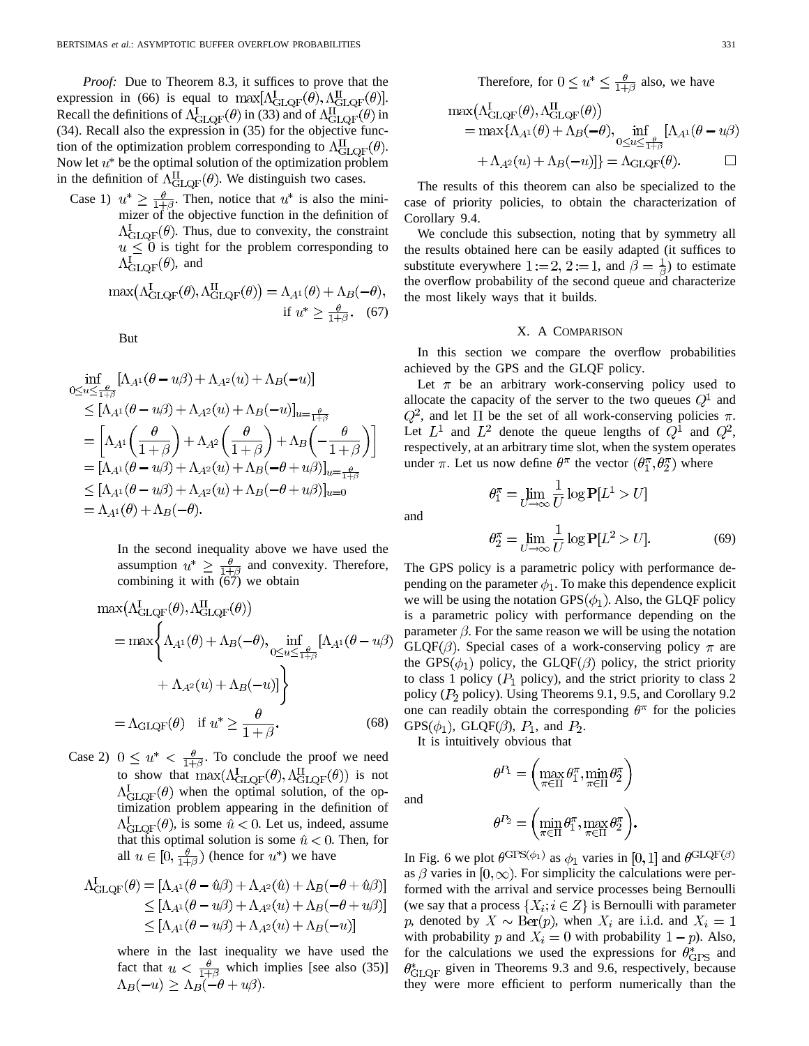*Proof:* Due to Theorem 8.3, it suffices to prove that the expression in (66) is equal to  $\max[\Lambda_{\rm GLOF}^{\rm I}(\theta), \Lambda_{\rm GLOF}^{\rm II}(\theta)].$ Recall the definitions of  $\Lambda_{\text{GLOF}}^{I}(\theta)$  in (33) and of  $\Lambda_{\text{GLOF}}^{II}(\theta)$  in (34). Recall also the expression in (35) for the objective function of the optimization problem corresponding to  $\Lambda_{\text{GLOF}}^{\text{II}}(\theta)$ . Now let  $u^*$  be the optimal solution of the optimization problem in the definition of  $\Lambda_{\text{GLOF}}^{II}(\theta)$ . We distinguish two cases.

Case 1)  $u^* \ge \frac{\theta}{1+\beta}$ . Then, notice that  $u^*$  is also the minimizer of the objective function in the definition of  $\Lambda_{\text{GLOF}}^{1}(\theta)$ . Thus, due to convexity, the constraint  $u \leq 0$  is tight for the problem corresponding to  $\Lambda_{\rm GLQF}^1(\theta)$ , and

$$
\max(\Lambda_{\text{GLQF}}^1(\theta), \Lambda_{\text{GLQF}}^1(\theta)) = \Lambda_{A^1}(\theta) + \Lambda_B(-\theta),
$$
  
if  $u^* \ge \frac{\theta}{1+\beta}$ . (67)

But

$$
\inf_{0 \le u \le \frac{\theta}{1+\beta}} [\Lambda_{A^1}(\theta - u\beta) + \Lambda_{A^2}(u) + \Lambda_B(-u)]
$$
\n
$$
\le [\Lambda_{A^1}(\theta - u\beta) + \Lambda_{A^2}(u) + \Lambda_B(-u)]_{u = \frac{\theta}{1+\beta}}
$$
\n
$$
= \left[ \Lambda_{A^1} \left( \frac{\theta}{1+\beta} \right) + \Lambda_{A^2} \left( \frac{\theta}{1+\beta} \right) + \Lambda_B \left( -\frac{\theta}{1+\beta} \right) \right]
$$
\n
$$
= [\Lambda_{A^1}(\theta - u\beta) + \Lambda_{A^2}(u) + \Lambda_B(-\theta + u\beta)]_{u = \frac{\theta}{1+\beta}}
$$
\n
$$
\le [\Lambda_{A^1}(\theta - u\beta) + \Lambda_{A^2}(u) + \Lambda_B(-\theta + u\beta)]_{u = 0}
$$
\n
$$
= \Lambda_{A^1}(\theta) + \Lambda_B(-\theta).
$$

In the second inequality above we have used the assumption  $u^* \geq \frac{\theta}{1+\beta}$  and convexity. Therefore, combining it with  $\overline{(67)}$  we obtain

$$
\max(\Lambda_{\text{GLQF}}^{I}(\theta), \Lambda_{\text{GLQF}}^{II}(\theta))
$$
  
= 
$$
\max\left\{\Lambda_{A^{1}}(\theta) + \Lambda_{B}(-\theta), \inf_{0 \le u \le \frac{\theta}{1+\beta}} [\Lambda_{A^{1}}(\theta - u\beta) + \Lambda_{A^{2}}(u) + \Lambda_{B}(-u)]\right\}
$$
  
= 
$$
\Lambda_{\text{GLQF}}(\theta) \quad \text{if } u^{*} \ge \frac{\theta}{1+\beta}.
$$
 (68)

Case 2)  $0 \le u^* < \frac{\theta}{1+\beta}$ . To conclude the proof we need to show that  $\max(\Lambda_{\text{GLOF}}^1(\theta), \Lambda_{\text{GLOF}}^1(\theta))$  is not  $\Lambda_{\text{GLQF}}^{1}(\theta)$  when the optimal solution, of the optimization problem appearing in the definition of  $\Lambda_{\text{GLOF}}^1(\theta)$ , is some  $\hat{u} < 0$ . Let us, indeed, assume that this optimal solution is some  $\hat{u} < 0$ . Then, for all  $u \in [0, \frac{\theta}{1+\beta})$  (hence for  $u^*$ ) we have

$$
\Lambda_{\text{GLQF}}^{I}(\theta) = [\Lambda_{A^1}(\theta - \hat{u}\beta) + \Lambda_{A^2}(\hat{u}) + \Lambda_B(-\theta + \hat{u}\beta)]
$$
  
\n
$$
\leq [\Lambda_{A^1}(\theta - u\beta) + \Lambda_{A^2}(u) + \Lambda_B(-\theta + u\beta)]
$$
  
\n
$$
\leq [\Lambda_{A^1}(\theta - u\beta) + \Lambda_{A^2}(u) + \Lambda_B(-u)]
$$

where in the last inequality we have used the fact that  $u < \frac{\theta}{1+\beta}$  which implies [see also (35)]  $\Lambda_B(-u) \geq \Lambda_B(-\theta + u\beta).$ 

Therefore, for 
$$
0 \le u^* \le \frac{\theta}{1+\beta}
$$
 also, we have

$$
\max(\Lambda_{\text{GLQF}}^{I}(\theta), \Lambda_{\text{GLQF}}^{II}(\theta))
$$
  
= 
$$
\max{\{\Lambda_{A^1}(\theta) + \Lambda_B(-\theta), \inf_{0 \le u \le \frac{\theta}{1+\beta}} [\Lambda_{A^1}(\theta - u\beta) + \Lambda_{A^2}(u) + \Lambda_B(-u)]\}} = \Lambda_{\text{GLQF}}(\theta).
$$

The results of this theorem can also be specialized to the case of priority policies, to obtain the characterization of Corollary 9.4.

We conclude this subsection, noting that by symmetry all the results obtained here can be easily adapted (it suffices to substitute everywhere  $1 := 2$ ,  $2 := 1$ , and  $\beta = \frac{1}{\beta}$  to estimate the overflow probability of the second queue and characterize the most likely ways that it builds.

## X. A COMPARISON

In this section we compare the overflow probabilities achieved by the GPS and the GLQF policy.

Let  $\pi$  be an arbitrary work-conserving policy used to allocate the capacity of the server to the two queues  $Q<sup>1</sup>$  and  $Q^2$ , and let  $\Pi$  be the set of all work-conserving policies  $\pi$ . Let  $L^1$  and  $L^2$  denote the queue lengths of  $Q^1$  and  $Q^2$ , respectively, at an arbitrary time slot, when the system operates under  $\pi$ . Let us now define  $\theta^{\pi}$  the vector  $(\theta_1^{\pi}, \theta_2^{\pi})$  where

 $\theta_1^{\pi} = \lim_{U \to \infty} \frac{1}{U} \log P[L^1 > U]$ 

and

$$
\theta_2^{\pi} = \lim_{U \to \infty} \frac{1}{U} \log \mathbf{P}[L^2 > U].
$$
 (69)

The GPS policy is a parametric policy with performance depending on the parameter  $\phi_1$ . To make this dependence explicit we will be using the notation GPS $(\phi_1)$ . Also, the GLQF policy is a parametric policy with performance depending on the parameter  $\beta$ . For the same reason we will be using the notation  $GLQF(\beta)$ . Special cases of a work-conserving policy  $\pi$  are the GPS( $\phi_1$ ) policy, the GLQF( $\beta$ ) policy, the strict priority to class 1 policy ( $P_1$  policy), and the strict priority to class 2 policy ( $P_2$  policy). Using Theorems 9.1, 9.5, and Corollary 9.2 one can readily obtain the corresponding  $\theta^{\pi}$  for the policies  $GPS(\phi_1)$ ,  $GLQF(\beta)$ ,  $P_1$ , and  $P_2$ .

It is intuitively obvious that

and

$$
\left(\frac{\pi \epsilon \Pi}{\pi \epsilon \Pi} \right)^n \frac{\pi \epsilon \Pi}{2}
$$

 $\theta^{P_1}$  –  $\left(\max \theta_1^{\pi} \min \theta_2^{\pi}\right)$ 

$$
\theta^{P_2} = \left(\min_{\pi \in \Pi} \theta_1^{\pi}, \max_{\pi \in \Pi} \theta_2^{\pi}\right).
$$

In Fig. 6 we plot  $\theta^{\text{GPS}(\phi_1)}$  as  $\phi_1$  varies in [0, 1] and  $\theta^{\text{GLQF}(\beta)}$ as  $\beta$  varies in  $[0, \infty)$ . For simplicity the calculations were performed with the arrival and service processes being Bernoulli (we say that a process  $\{X_i; i \in Z\}$  is Bernoulli with parameter p, denoted by  $X \sim \text{Ber}(p)$ , when  $X_i$  are i.i.d. and  $X_i = 1$ with probability p and  $X_i = 0$  with probability  $1 - p$ ). Also, for the calculations we used the expressions for  $\theta_{\text{GPS}}^*$  and  $\theta_{\text{GLOF}}^*$  given in Theorems 9.3 and 9.6, respectively, because they were more efficient to perform numerically than the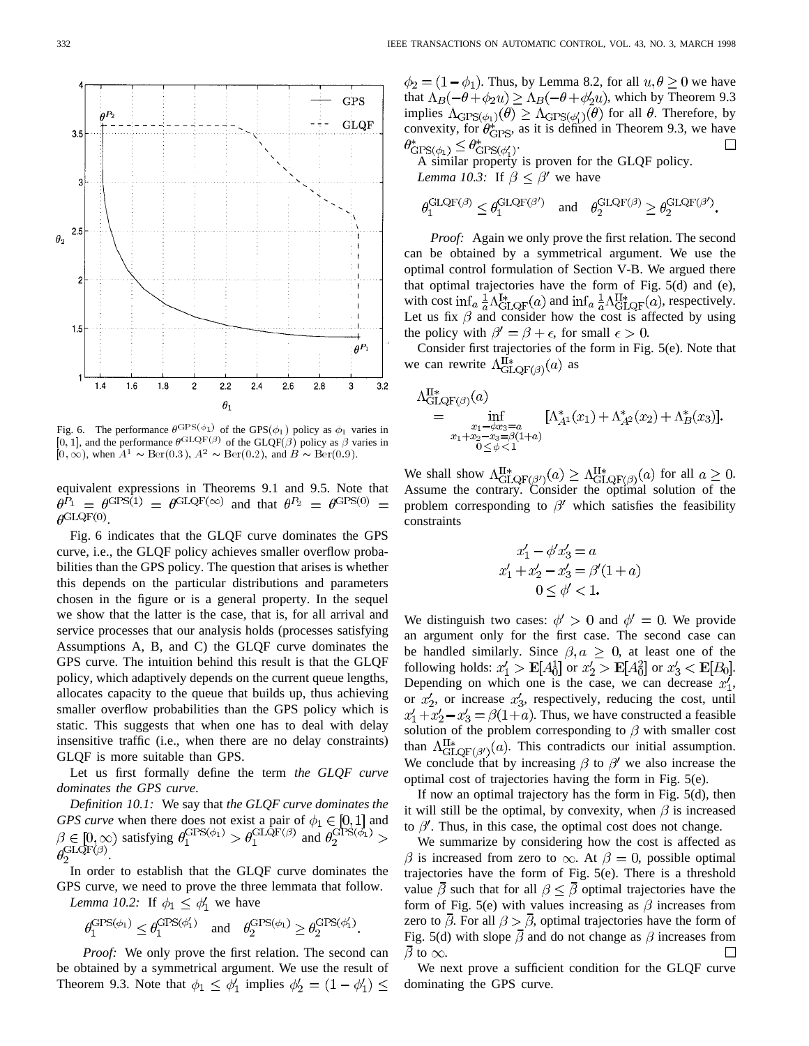

Fig. 6. The performance  $\theta^{\text{GPS}(\phi_1)}$  of the GPS( $\phi_1$ ) policy as  $\phi_1$  varies in  $[0, 1]$ , and the performance  $\theta^{\text{GLQF}(\beta)}$  of the GLQF( $\beta$ ) policy as  $\beta$  varies in  $[0,\infty)$ , when  $A^1 \sim \text{Ber}(0.3)$ ,  $A^2 \sim \text{Ber}(0.2)$ , and  $B \sim \text{Ber}(0.9)$ .

equivalent expressions in Theorems 9.1 and 9.5. Note that  $\theta_{1}^{P_1} = \theta_{1}^{GPS(1)} = \theta_{1}^{GLQF(\infty)}$  and that  $\theta_{1}^{P_2} = \theta_{1}^{GPS(0)} =$  $\rho$ GLQF(0)

Fig. 6 indicates that the GLQF curve dominates the GPS curve, i.e., the GLQF policy achieves smaller overflow probabilities than the GPS policy. The question that arises is whether this depends on the particular distributions and parameters chosen in the figure or is a general property. In the sequel we show that the latter is the case, that is, for all arrival and service processes that our analysis holds (processes satisfying Assumptions A, B, and C) the GLQF curve dominates the GPS curve. The intuition behind this result is that the GLQF policy, which adaptively depends on the current queue lengths, allocates capacity to the queue that builds up, thus achieving smaller overflow probabilities than the GPS policy which is static. This suggests that when one has to deal with delay insensitive traffic (i.e., when there are no delay constraints) GLQF is more suitable than GPS.

Let us first formally define the term *the GLQF curve dominates the GPS curve*.

*Definition 10.1:* We say that *the GLQF curve dominates the GPS curve* when there does not exist a pair of  $\phi_1 \in [0,1]$  and satisfying  $\theta_1^{\text{GL}(2)} > \theta_1^{\text{GLQF}(\beta)}$  and  $\theta_2^{\mbox{GLQF}(\beta)}$ 

In order to establish that the GLQF curve dominates the GPS curve, we need to prove the three lemmata that follow. *Lemma 10.2:* If  $\phi_1 \leq \phi'_1$  we have

$$
\theta_1^{\mathrm{GPS}(\phi_1)} \leq \theta_1^{\mathrm{GPS}(\phi_1')} \quad \text{and} \quad \theta_2^{\mathrm{GPS}(\phi_1)} \geq \theta_2^{\mathrm{GPS}(\phi_1')}.
$$

*Proof:* We only prove the first relation. The second can be obtained by a symmetrical argument. We use the result of Theorem 9.3. Note that  $\phi_1 \leq \phi'_1$  implies  $\phi'_2 = (1 - \phi'_1) \leq$ 

 $\phi_2 = (1 - \phi_1)$ . Thus, by Lemma 8.2, for all  $u, \theta \ge 0$  we have that  $\Lambda_B(-\theta + \phi_2 u) \geq \Lambda_B(-\theta + \phi_2' u)$ , which by Theorem 9.3 implies  $\Lambda_{\text{GPS}(\phi_1)}(\theta) \geq \Lambda_{\text{GPS}(\phi_1)}(\theta)$  for all  $\theta$ . Therefore, by convexity, for  $\theta_{\text{GPS}}^*$ , as it is defined in Theorem 9.3, we have .  $\Box$ 

A similar property is proven for the GLQF policy. *Lemma 10.3:* If  $\beta < \beta'$  we have

$$
\theta_1^{\text{GLQF}(\beta)} \leq \theta_1^{\text{GLQF}(\beta')} \quad \text{and} \quad \theta_2^{\text{GLQF}(\beta)} \geq \theta_2^{\text{GLQF}(\beta')}.
$$

*Proof:* Again we only prove the first relation. The second can be obtained by a symmetrical argument. We use the optimal control formulation of Section V-B. We argued there that optimal trajectories have the form of Fig. 5(d) and (e), with cost inf<sub>a</sub>  $\frac{1}{a} \Lambda_{\text{GLQF}}^{\text{I}*}(a)$  and inf<sub>a</sub>  $\frac{1}{a} \Lambda_{\text{GLQF}}^{\text{II}*}(a)$ , respectively. Let us fix  $\beta$  and consider how the cost is affected by using the policy with  $\beta' = \beta + \epsilon$ , for small  $\epsilon > 0$ .

Consider first trajectories of the form in Fig. 5(e). Note that we can rewrite  $\Lambda_{\text{GLQF}(\beta)}^{\mathbb{II}*}(a)$  as

$$
\Lambda_{\text{GLQF}(\beta)}^{\text{II}*}(a) = \inf_{\substack{x_1 - \phi x_3 = a \\ x_1 + x_2 - x_3 = \beta(1+a) \\ 0 < \phi < 1}} [\Lambda_{A^1}^*(x_1) + \Lambda_{A^2}^*(x_2) + \Lambda_B^*(x_3)].
$$

We shall show  $\Lambda_{\text{CI OF}}^{H*}(\beta) \geq \Lambda_{\text{CI OF}}^{H*}(\beta)}(a)$  for all  $a \geq 0$ . Assume the contrary. Consider the optimal solution of the problem corresponding to  $\beta'$  which satisfies the feasibility constraints

$$
x'_1 - \phi' x'_3 = a
$$
  
\n
$$
x'_1 + x'_2 - x'_3 = \beta'(1 + a)
$$
  
\n
$$
0 \le \phi' < 1.
$$

We distinguish two cases:  $\phi' > 0$  and  $\phi' = 0$ . We provide an argument only for the first case. The second case can be handled similarly. Since  $\beta$ ,  $a \geq 0$ , at least one of the following holds:  $x'_1 > \mathbf{E}[A_0^1]$  or  $x'_2 > \mathbf{E}[A_0^2]$  or  $x'_3 < \mathbf{E}[B_0]$ . Depending on which one is the case, we can decrease  $x'_1$ , or  $x'_2$ , or increase  $x'_3$ , respectively, reducing the cost, until  $x_1' + x_2' - x_3' = \beta(1+a)$ . Thus, we have constructed a feasible solution of the problem corresponding to  $\beta$  with smaller cost than  $\Lambda_{\text{GLOF}(\beta')}^{\text{II}*}(a)$ . This contradicts our initial assumption. We conclude that by increasing  $\beta$  to  $\beta'$  we also increase the optimal cost of trajectories having the form in Fig. 5(e).

If now an optimal trajectory has the form in Fig. 5(d), then it will still be the optimal, by convexity, when  $\beta$  is increased to  $\beta'$ . Thus, in this case, the optimal cost does not change.

We summarize by considering how the cost is affected as  $\beta$  is increased from zero to  $\infty$ . At  $\beta = 0$ , possible optimal trajectories have the form of Fig. 5(e). There is a threshold value  $\bar{\beta}$  such that for all  $\beta < \bar{\beta}$  optimal trajectories have the form of Fig. 5(e) with values increasing as  $\beta$  increases from zero to  $\overline{\beta}$ . For all  $\beta > \overline{\beta}$ , optimal trajectories have the form of Fig. 5(d) with slope  $\bar{\beta}$  and do not change as  $\beta$  increases from  $\overline{\beta}$  to  $\infty$ .  $\Box$ 

We next prove a sufficient condition for the GLQF curve dominating the GPS curve.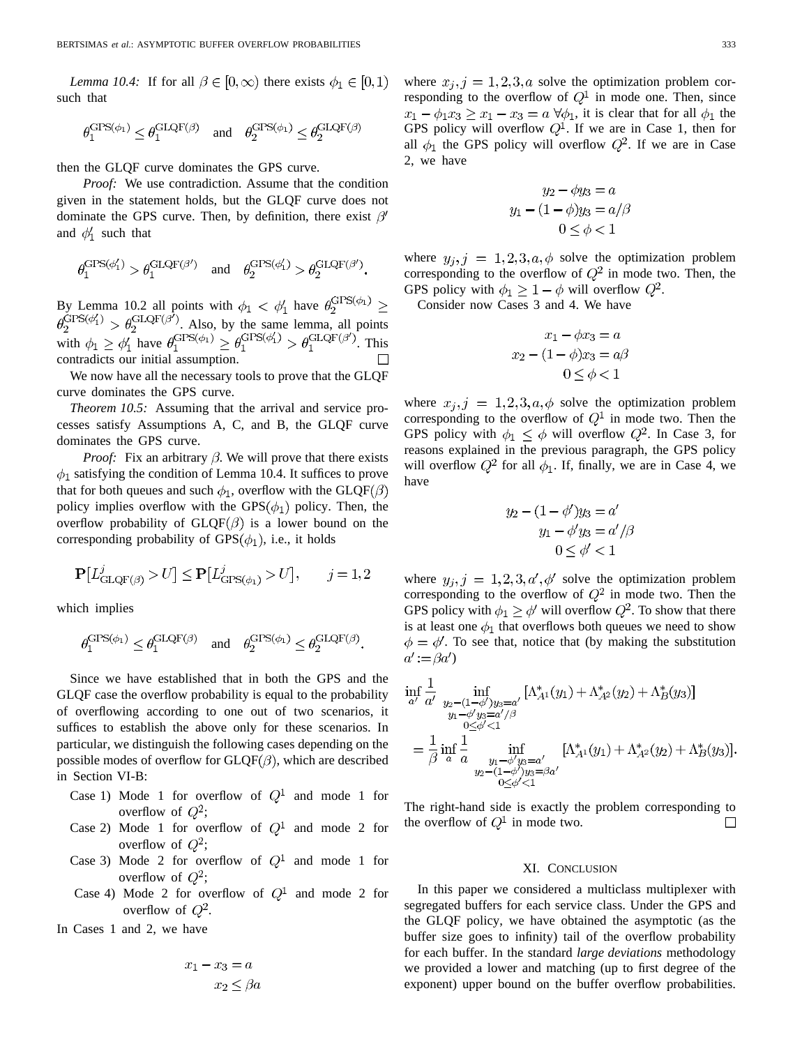*Lemma 10.4:* If for all  $\beta \in [0, \infty)$  there exists  $\phi_1 \in [0, 1)$ such that

$$
\theta_1^{\text{GPS}(\phi_1)} \le \theta_1^{\text{GLQF}(\beta)} \quad \text{and} \quad \theta_2^{\text{GPS}(\phi_1)} \le \theta_2^{\text{GLQF}(\beta)}
$$

then the GLQF curve dominates the GPS curve.

*Proof:* We use contradiction. Assume that the condition given in the statement holds, but the GLQF curve does not dominate the GPS curve. Then, by definition, there exist  $\beta'$ and  $\phi'_1$  such that

$$
\theta_1^{\text{GPS}(\phi_1')} > \theta_1^{\text{GLQF}(\beta')} \quad \text{and} \quad \theta_2^{\text{GPS}(\phi_1')} > \theta_2^{\text{GLQF}(\beta')}.
$$

By Lemma 10.2 all points with  $\phi_1 < \phi_1'$  have  $\theta_2^{\text{GPS}(\phi_1)} \geq$ . Also, by the same lemma, all points with  $\phi_1 \geq \phi_1'$  have  $\theta_1^{\text{CTD}(\varphi_1)} \geq \theta_1^{\text{CTD}(\varphi_1)} > \theta_1^{\text{CTD}(\varphi_1)}$ . This contradicts our initial assumption.

We now have all the necessary tools to prove that the GLQF curve dominates the GPS curve.

*Theorem 10.5:* Assuming that the arrival and service processes satisfy Assumptions A, C, and B, the GLQF curve dominates the GPS curve.

*Proof:* Fix an arbitrary  $\beta$ . We will prove that there exists  $\phi_1$  satisfying the condition of Lemma 10.4. It suffices to prove that for both queues and such  $\phi_1$ , overflow with the GLQF( $\beta$ ) policy implies overflow with the GPS $(\phi_1)$  policy. Then, the overflow probability of  $GLQF(\beta)$  is a lower bound on the corresponding probability of  $GPS(\phi_1)$ , i.e., it holds

$$
\mathbf{P}[L^j_{\mathrm{GLQF}(\beta)}>U] \le \mathbf{P}[L^j_{\mathrm{GPS}(\phi_1)}>U], \qquad j=1,2
$$

which implies

$$
\theta_1^{\text{GPS}(\phi_1)} \leq \theta_1^{\text{GLQF}(\beta)} \quad \text{and} \quad \theta_2^{\text{GPS}(\phi_1)} \leq \theta_2^{\text{GLQF}(\beta)}.
$$

Since we have established that in both the GPS and the GLQF case the overflow probability is equal to the probability of overflowing according to one out of two scenarios, it suffices to establish the above only for these scenarios. In particular, we distinguish the following cases depending on the possible modes of overflow for  $GLQF(\beta)$ , which are described in Section VI-B:

- Case 1) Mode 1 for overflow of  $Q^1$  and mode 1 for overflow of  $Q^2$ ;
- Case 2) Mode 1 for overflow of  $Q^1$  and mode 2 for overflow of  $Q^2$ ;
- Case 3) Mode 2 for overflow of  $Q^1$  and mode 1 for overflow of  $Q^2$ ;
- Case 4) Mode 2 for overflow of  $Q^1$  and mode 2 for overflow of  $Q^2$ .

In Cases 1 and 2, we have

$$
x_1 - x_3 = a
$$

$$
x_2 \le \beta a
$$

where  $x_i, j = 1, 2, 3, a$  solve the optimization problem corresponding to the overflow of  $Q<sup>1</sup>$  in mode one. Then, since  $x_1 - \phi_1 x_3 \ge x_1 - x_3 = a \,\forall \phi_1$ , it is clear that for all  $\phi_1$  the GPS policy will overflow  $Q^1$ . If we are in Case 1, then for all  $\phi_1$  the GPS policy will overflow  $Q^2$ . If we are in Case 2, we have

$$
y_2 - \phi y_3 = a
$$
  

$$
y_1 - (1 - \phi)y_3 = a/\beta
$$
  

$$
0 \le \phi < 1
$$

where  $y_j$ ,  $j = 1, 2, 3, a, \phi$  solve the optimization problem corresponding to the overflow of  $Q^2$  in mode two. Then, the GPS policy with  $\phi_1 \geq 1 - \phi$  will overflow  $Q^2$ .

Consider now Cases 3 and 4. We have

$$
x_1 - \phi x_3 = a
$$

$$
x_2 - (1 - \phi)x_3 = a\beta
$$

$$
0 \le \phi \le 1
$$

where  $x_j$ ,  $j = 1, 2, 3, a, \phi$  solve the optimization problem corresponding to the overflow of  $Q<sup>1</sup>$  in mode two. Then the GPS policy with  $\phi_1 \leq \phi$  will overflow  $Q^2$ . In Case 3, for reasons explained in the previous paragraph, the GPS policy will overflow  $Q^2$  for all  $\phi_1$ . If, finally, we are in Case 4, we have

$$
y_2 - (1 - \phi')y_3 = a'
$$
  

$$
y_1 - \phi'y_3 = a'/\beta
$$
  

$$
0 \le \phi' < 1
$$

where  $y_j$ ,  $j = 1, 2, 3, a', \phi'$  solve the optimization problem corresponding to the overflow of  $Q^2$  in mode two. Then the GPS policy with  $\phi_1 \ge \phi'$  will overflow  $Q^2$ . To show that there is at least one  $\phi_1$  that overflows both queues we need to show  $\phi = \phi'$ . To see that, notice that (by making the substitution  $a':=\beta a'$ 

$$
\inf_{a'} \frac{1}{a'} \inf_{\substack{y_2 - (1 - \phi')y_3 = a' \\ y_1 - \phi' y_3 = a'/\beta}} [\Lambda_{A^1}^*(y_1) + \Lambda_{A^2}^*(y_2) + \Lambda_B^*(y_3)]
$$
\n
$$
= \frac{1}{\beta} \inf_{a} \frac{1}{a} \inf_{\substack{y_1 - \phi' y_3 = a' \\ y_2 - (1 - \phi')y_3 = \beta a'}} [\Lambda_{A^1}^*(y_1) + \Lambda_{A^2}^*(y_2) + \Lambda_B^*(y_3)].
$$

The right-hand side is exactly the problem corresponding to the overflow of  $Q^1$  in mode two.  $\Box$ 

#### XI. CONCLUSION

In this paper we considered a multiclass multiplexer with segregated buffers for each service class. Under the GPS and the GLQF policy, we have obtained the asymptotic (as the buffer size goes to infinity) tail of the overflow probability for each buffer. In the standard *large deviations* methodology we provided a lower and matching (up to first degree of the exponent) upper bound on the buffer overflow probabilities.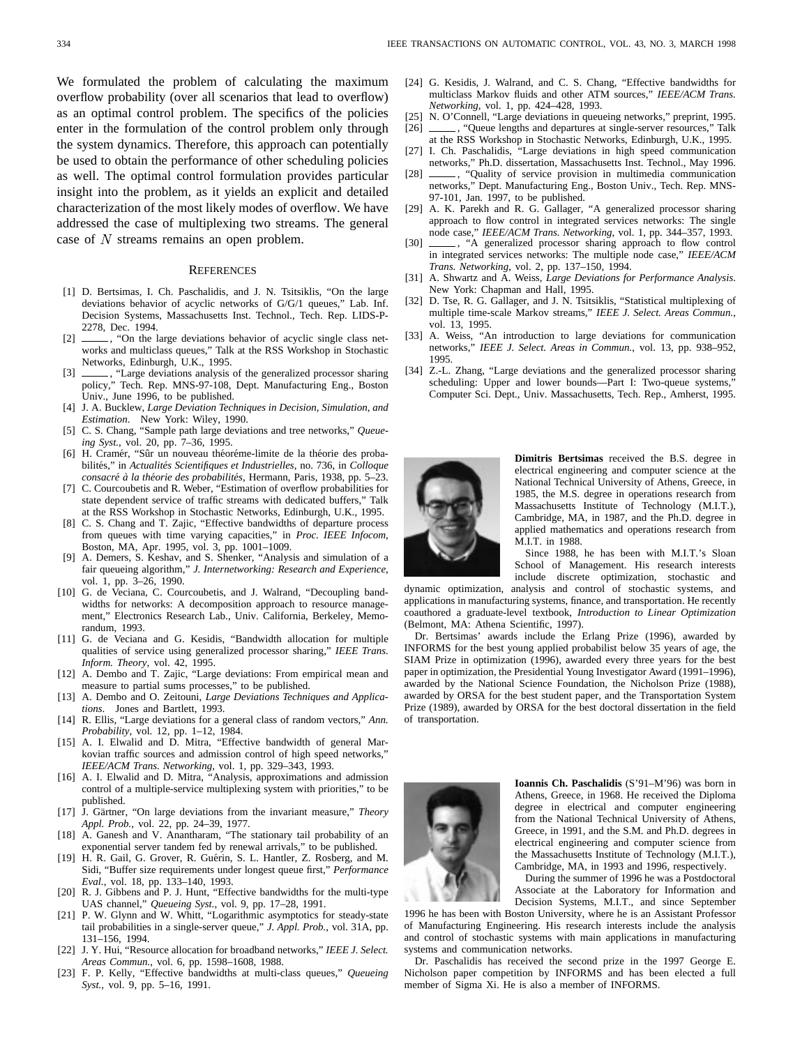We formulated the problem of calculating the maximum overflow probability (over all scenarios that lead to overflow) as an optimal control problem. The specifics of the policies enter in the formulation of the control problem only through the system dynamics. Therefore, this approach can potentially be used to obtain the performance of other scheduling policies as well. The optimal control formulation provides particular insight into the problem, as it yields an explicit and detailed characterization of the most likely modes of overflow. We have addressed the case of multiplexing two streams. The general case of  $N$  streams remains an open problem.

#### **REFERENCES**

- [1] D. Bertsimas, I. Ch. Paschalidis, and J. N. Tsitsiklis, "On the large deviations behavior of acyclic networks of G/G/1 queues," Lab. Inf. Decision Systems, Massachusetts Inst. Technol., Tech. Rep. LIDS-P-2278, Dec. 1994.
- [2] \_\_\_\_\_, "On the large deviations behavior of acyclic single class networks and multiclass queues," Talk at the RSS Workshop in Stochastic Networks, Edinburgh, U.K., 1995.
- [3] \_\_\_\_\_\_, "Large deviations analysis of the generalized processor sharing policy," Tech. Rep. MNS-97-108, Dept. Manufacturing Eng., Boston Univ., June 1996, to be published.
- [4] J. A. Bucklew, *Large Deviation Techniques in Decision, Simulation, and Estimation*. New York: Wiley, 1990.
- [5] C. S. Chang, "Sample path large deviations and tree networks," *Queueing Syst.*, vol. 20, pp. 7–36, 1995.
- [6] H. Cramér, "Sûr un nouveau théoréme-limite de la théorie des probabilités," in *Actualités Scientifiques et Industrielles*, no. 736, in *Colloque consacré à la théorie des probabilités*, Hermann, Paris, 1938, pp. 5–23.
- [7] C. Courcoubetis and R. Weber, "Estimation of overflow probabilities for state dependent service of traffic streams with dedicated buffers," Talk at the RSS Workshop in Stochastic Networks, Edinburgh, U.K., 1995.
- [8] C. S. Chang and T. Zajic, "Effective bandwidths of departure process from queues with time varying capacities," in *Proc. IEEE Infocom*, Boston, MA, Apr. 1995, vol. 3, pp. 1001–1009.
- [9] A. Demers, S. Keshav, and S. Shenker, "Analysis and simulation of a fair queueing algorithm," *J. Internetworking: Research and Experience*, vol. 1, pp. 3–26, 1990.
- [10] G. de Veciana, C. Courcoubetis, and J. Walrand, "Decoupling bandwidths for networks: A decomposition approach to resource management," Electronics Research Lab., Univ. California, Berkeley, Memorandum, 1993.
- [11] G. de Veciana and G. Kesidis, "Bandwidth allocation for multiple qualities of service using generalized processor sharing," *IEEE Trans. Inform. Theory*, vol. 42, 1995.
- [12] A. Dembo and T. Zajic, "Large deviations: From empirical mean and measure to partial sums processes," to be published.
- [13] A. Dembo and O. Zeitouni, *Large Deviations Techniques and Applications*. Jones and Bartlett, 1993.
- [14] R. Ellis, "Large deviations for a general class of random vectors," *Ann. Probability*, vol. 12, pp. 1–12, 1984.
- [15] A. I. Elwalid and D. Mitra, "Effective bandwidth of general Markovian traffic sources and admission control of high speed networks," *IEEE/ACM Trans. Networking*, vol. 1, pp. 329–343, 1993.
- [16] A. I. Elwalid and D. Mitra, "Analysis, approximations and admission control of a multiple-service multiplexing system with priorities," to be published.
- [17] J. Gärtner, "On large deviations from the invariant measure," *Theory Appl. Prob.*, vol. 22, pp. 24–39, 1977.
- [18] A. Ganesh and V. Anantharam, "The stationary tail probability of an exponential server tandem fed by renewal arrivals," to be published.
- [19] H. R. Gail, G. Grover, R. Guérin, S. L. Hantler, Z. Rosberg, and M. Sidi, "Buffer size requirements under longest queue first," *Performance Eval.*, vol. 18, pp. 133–140, 1993.
- [20] R. J. Gibbens and P. J. Hunt, "Effective bandwidths for the multi-type UAS channel," *Queueing Syst.*, vol. 9, pp. 17–28, 1991.
- [21] P. W. Glynn and W. Whitt, "Logarithmic asymptotics for steady-state tail probabilities in a single-server queue," *J. Appl. Prob.*, vol. 31A, pp. 131–156, 1994.
- [22] J. Y. Hui, "Resource allocation for broadband networks," *IEEE J. Select. Areas Commun.*, vol. 6, pp. 1598–1608, 1988.
- [23] F. P. Kelly, "Effective bandwidths at multi-class queues," *Queueing Syst.*, vol. 9, pp. 5–16, 1991.
- [24] G. Kesidis, J. Walrand, and C. S. Chang, "Effective bandwidths for multiclass Markov fluids and other ATM sources," *IEEE/ACM Trans. Networking*, vol. 1, pp. 424–428, 1993.
- [25] N. O'Connell, "Large deviations in queueing networks," preprint, 1995.<br>[26] \_\_\_\_\_\_, "Oueue lengths and departures at single-server resources." Talk [26] , "Queue lengths and departures at single-server resources," Talk
- at the RSS Workshop in Stochastic Networks, Edinburgh, U.K., 1995. [27] I. Ch. Paschalidis, "Large deviations in high speed communication
- networks," Ph.D. dissertation, Massachusetts Inst. Technol., May 1996. [28]  $\_\_\_\$ , "Quality of service provision in multimedia communication
- networks," Dept. Manufacturing Eng., Boston Univ., Tech. Rep. MNS-97-101, Jan. 1997, to be published.
- [29] A. K. Parekh and R. G. Gallager, "A generalized processor sharing approach to flow control in integrated services networks: The single node case," *IEEE/ACM Trans. Networking*, vol. 1, pp. 344–357, 1993.
- [30]  $\_\_\_\$ , "A generalized processor sharing approach to flow control in integrated services networks: The multiple node case," *IEEE/ACM Trans. Networking*, vol. 2, pp. 137–150, 1994.
- [31] A. Shwartz and A. Weiss, *Large Deviations for Performance Analysis*. New York: Chapman and Hall, 1995.
- [32] D. Tse, R. G. Gallager, and J. N. Tsitsiklis, "Statistical multiplexing of multiple time-scale Markov streams," *IEEE J. Select. Areas Commun.*, vol. 13, 1995.
- [33] A. Weiss, "An introduction to large deviations for communication networks," *IEEE J. Select. Areas in Commun.*, vol. 13, pp. 938–952, 1995.
- [34] Z.-L. Zhang, "Large deviations and the generalized processor sharing scheduling: Upper and lower bounds—Part I: Two-queue systems, Computer Sci. Dept., Univ. Massachusetts, Tech. Rep., Amherst, 1995.



**Dimitris Bertsimas** received the B.S. degree in electrical engineering and computer science at the National Technical University of Athens, Greece, in 1985, the M.S. degree in operations research from Massachusetts Institute of Technology (M.I.T.), Cambridge, MA, in 1987, and the Ph.D. degree in applied mathematics and operations research from M.I.T. in 1988.

Since 1988, he has been with M.I.T.'s Sloan School of Management. His research interests include discrete optimization, stochastic and

dynamic optimization, analysis and control of stochastic systems, and applications in manufacturing systems, finance, and transportation. He recently coauthored a graduate-level textbook, *Introduction to Linear Optimization* (Belmont, MA: Athena Scientific, 1997).

Dr. Bertsimas' awards include the Erlang Prize (1996), awarded by INFORMS for the best young applied probabilist below 35 years of age, the SIAM Prize in optimization (1996), awarded every three years for the best paper in optimization, the Presidential Young Investigator Award (1991–1996), awarded by the National Science Foundation, the Nicholson Prize (1988), awarded by ORSA for the best student paper, and the Transportation System Prize (1989), awarded by ORSA for the best doctoral dissertation in the field of transportation.



**Ioannis Ch. Paschalidis** (S'91–M'96) was born in Athens, Greece, in 1968. He received the Diploma degree in electrical and computer engineering from the National Technical University of Athens, Greece, in 1991, and the S.M. and Ph.D. degrees in electrical engineering and computer science from the Massachusetts Institute of Technology (M.I.T.), Cambridge, MA, in 1993 and 1996, respectively.

During the summer of 1996 he was a Postdoctoral Associate at the Laboratory for Information and Decision Systems, M.I.T., and since September

1996 he has been with Boston University, where he is an Assistant Professor of Manufacturing Engineering. His research interests include the analysis and control of stochastic systems with main applications in manufacturing systems and communication networks.

Dr. Paschalidis has received the second prize in the 1997 George E. Nicholson paper competition by INFORMS and has been elected a full member of Sigma Xi. He is also a member of INFORMS.